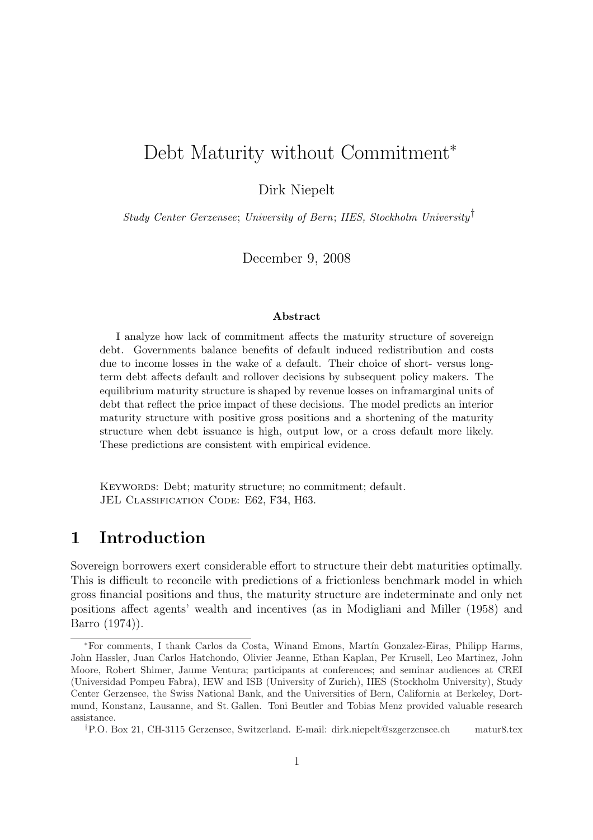# Debt Maturity without Commitment<sup>∗</sup>

Dirk Niepelt

Study Center Gerzensee; University of Bern; IIES, Stockholm University†

December 9, 2008

#### Abstract

I analyze how lack of commitment affects the maturity structure of sovereign debt. Governments balance benefits of default induced redistribution and costs due to income losses in the wake of a default. Their choice of short- versus longterm debt affects default and rollover decisions by subsequent policy makers. The equilibrium maturity structure is shaped by revenue losses on inframarginal units of debt that reflect the price impact of these decisions. The model predicts an interior maturity structure with positive gross positions and a shortening of the maturity structure when debt issuance is high, output low, or a cross default more likely. These predictions are consistent with empirical evidence.

KEYWORDS: Debt; maturity structure; no commitment; default. JEL CLASSIFICATION CODE: E62, F34, H63.

### 1 Introduction

Sovereign borrowers exert considerable effort to structure their debt maturities optimally. This is difficult to reconcile with predictions of a frictionless benchmark model in which gross financial positions and thus, the maturity structure are indeterminate and only net positions affect agents' wealth and incentives (as in Modigliani and Miller (1958) and Barro (1974)).

<sup>∗</sup>For comments, I thank Carlos da Costa, Winand Emons, Mart´ın Gonzalez-Eiras, Philipp Harms, John Hassler, Juan Carlos Hatchondo, Olivier Jeanne, Ethan Kaplan, Per Krusell, Leo Martinez, John Moore, Robert Shimer, Jaume Ventura; participants at conferences; and seminar audiences at CREI (Universidad Pompeu Fabra), IEW and ISB (University of Zurich), IIES (Stockholm University), Study Center Gerzensee, the Swiss National Bank, and the Universities of Bern, California at Berkeley, Dortmund, Konstanz, Lausanne, and St. Gallen. Toni Beutler and Tobias Menz provided valuable research assistance.

<sup>†</sup>P.O. Box 21, CH-3115 Gerzensee, Switzerland. E-mail: dirk.niepelt@szgerzensee.ch matur8.tex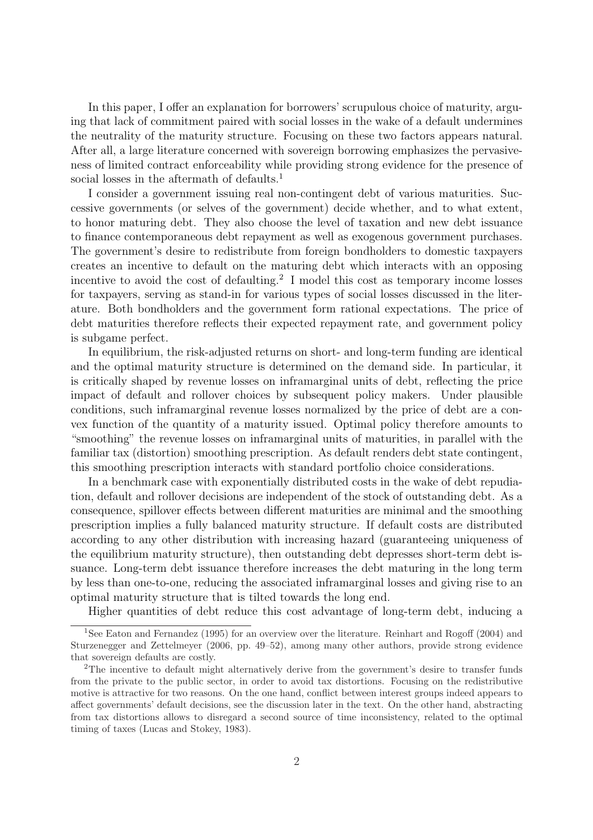In this paper, I offer an explanation for borrowers' scrupulous choice of maturity, arguing that lack of commitment paired with social losses in the wake of a default undermines the neutrality of the maturity structure. Focusing on these two factors appears natural. After all, a large literature concerned with sovereign borrowing emphasizes the pervasiveness of limited contract enforceability while providing strong evidence for the presence of social losses in the aftermath of defaults.<sup>1</sup>

I consider a government issuing real non-contingent debt of various maturities. Successive governments (or selves of the government) decide whether, and to what extent, to honor maturing debt. They also choose the level of taxation and new debt issuance to finance contemporaneous debt repayment as well as exogenous government purchases. The government's desire to redistribute from foreign bondholders to domestic taxpayers creates an incentive to default on the maturing debt which interacts with an opposing incentive to avoid the cost of defaulting.<sup>2</sup> I model this cost as temporary income losses for taxpayers, serving as stand-in for various types of social losses discussed in the literature. Both bondholders and the government form rational expectations. The price of debt maturities therefore reflects their expected repayment rate, and government policy is subgame perfect.

In equilibrium, the risk-adjusted returns on short- and long-term funding are identical and the optimal maturity structure is determined on the demand side. In particular, it is critically shaped by revenue losses on inframarginal units of debt, reflecting the price impact of default and rollover choices by subsequent policy makers. Under plausible conditions, such inframarginal revenue losses normalized by the price of debt are a convex function of the quantity of a maturity issued. Optimal policy therefore amounts to "smoothing" the revenue losses on inframarginal units of maturities, in parallel with the familiar tax (distortion) smoothing prescription. As default renders debt state contingent, this smoothing prescription interacts with standard portfolio choice considerations.

In a benchmark case with exponentially distributed costs in the wake of debt repudiation, default and rollover decisions are independent of the stock of outstanding debt. As a consequence, spillover effects between different maturities are minimal and the smoothing prescription implies a fully balanced maturity structure. If default costs are distributed according to any other distribution with increasing hazard (guaranteeing uniqueness of the equilibrium maturity structure), then outstanding debt depresses short-term debt issuance. Long-term debt issuance therefore increases the debt maturing in the long term by less than one-to-one, reducing the associated inframarginal losses and giving rise to an optimal maturity structure that is tilted towards the long end.

Higher quantities of debt reduce this cost advantage of long-term debt, inducing a

<sup>&</sup>lt;sup>1</sup>See Eaton and Fernandez (1995) for an overview over the literature. Reinhart and Rogoff (2004) and Sturzenegger and Zettelmeyer (2006, pp. 49–52), among many other authors, provide strong evidence that sovereign defaults are costly.

<sup>2</sup>The incentive to default might alternatively derive from the government's desire to transfer funds from the private to the public sector, in order to avoid tax distortions. Focusing on the redistributive motive is attractive for two reasons. On the one hand, conflict between interest groups indeed appears to affect governments' default decisions, see the discussion later in the text. On the other hand, abstracting from tax distortions allows to disregard a second source of time inconsistency, related to the optimal timing of taxes (Lucas and Stokey, 1983).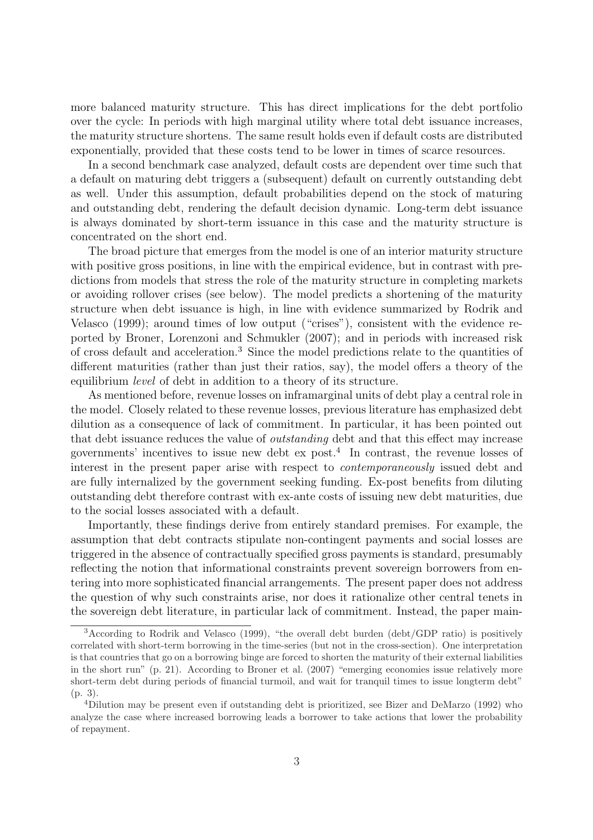more balanced maturity structure. This has direct implications for the debt portfolio over the cycle: In periods with high marginal utility where total debt issuance increases, the maturity structure shortens. The same result holds even if default costs are distributed exponentially, provided that these costs tend to be lower in times of scarce resources.

In a second benchmark case analyzed, default costs are dependent over time such that a default on maturing debt triggers a (subsequent) default on currently outstanding debt as well. Under this assumption, default probabilities depend on the stock of maturing and outstanding debt, rendering the default decision dynamic. Long-term debt issuance is always dominated by short-term issuance in this case and the maturity structure is concentrated on the short end.

The broad picture that emerges from the model is one of an interior maturity structure with positive gross positions, in line with the empirical evidence, but in contrast with predictions from models that stress the role of the maturity structure in completing markets or avoiding rollover crises (see below). The model predicts a shortening of the maturity structure when debt issuance is high, in line with evidence summarized by Rodrik and Velasco (1999); around times of low output ("crises"), consistent with the evidence reported by Broner, Lorenzoni and Schmukler (2007); and in periods with increased risk of cross default and acceleration.<sup>3</sup> Since the model predictions relate to the quantities of different maturities (rather than just their ratios, say), the model offers a theory of the equilibrium level of debt in addition to a theory of its structure.

As mentioned before, revenue losses on inframarginal units of debt play a central role in the model. Closely related to these revenue losses, previous literature has emphasized debt dilution as a consequence of lack of commitment. In particular, it has been pointed out that debt issuance reduces the value of outstanding debt and that this effect may increase governments' incentives to issue new debt ex post.<sup>4</sup> In contrast, the revenue losses of interest in the present paper arise with respect to contemporaneously issued debt and are fully internalized by the government seeking funding. Ex-post benefits from diluting outstanding debt therefore contrast with ex-ante costs of issuing new debt maturities, due to the social losses associated with a default.

Importantly, these findings derive from entirely standard premises. For example, the assumption that debt contracts stipulate non-contingent payments and social losses are triggered in the absence of contractually specified gross payments is standard, presumably reflecting the notion that informational constraints prevent sovereign borrowers from entering into more sophisticated financial arrangements. The present paper does not address the question of why such constraints arise, nor does it rationalize other central tenets in the sovereign debt literature, in particular lack of commitment. Instead, the paper main-

<sup>3</sup>According to Rodrik and Velasco (1999), "the overall debt burden (debt/GDP ratio) is positively correlated with short-term borrowing in the time-series (but not in the cross-section). One interpretation is that countries that go on a borrowing binge are forced to shorten the maturity of their external liabilities in the short run" (p. 21). According to Broner et al. (2007) "emerging economies issue relatively more short-term debt during periods of financial turmoil, and wait for tranquil times to issue longterm debt" (p. 3).

<sup>4</sup>Dilution may be present even if outstanding debt is prioritized, see Bizer and DeMarzo (1992) who analyze the case where increased borrowing leads a borrower to take actions that lower the probability of repayment.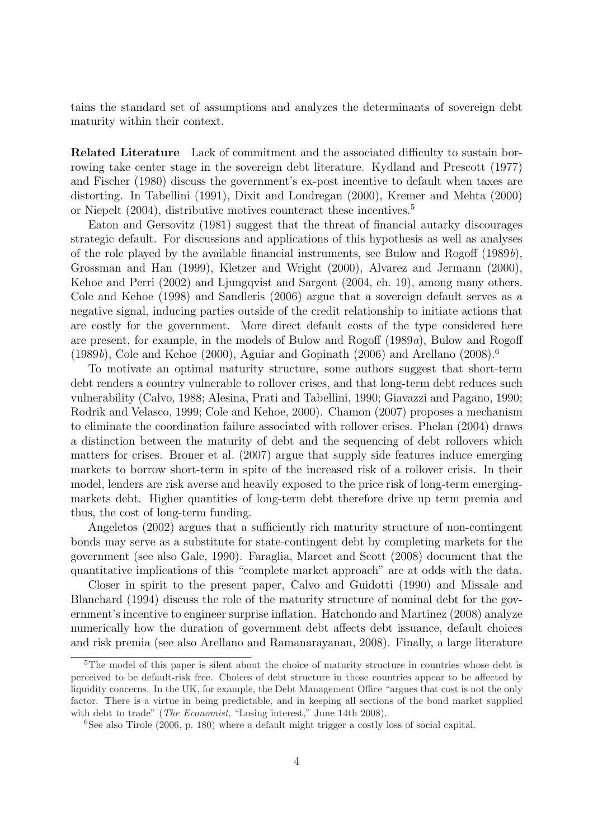tains the standard set of assumptions and analyzes the determinants of sovereign debt maturity within their context.

Related Literature Lack of commitment and the associated difficulty to sustain borrowing take center stage in the sovereign debt literature. Kydland and Prescott (1977) and Fischer (1980) discuss the government's ex-post incentive to default when taxes are distorting. In Tabellini (1991), Dixit and Londregan (2000), Kremer and Mehta (2000) or Niepelt  $(2004)$ , distributive motives counteract these incentives.<sup>5</sup>

Eaton and Gersovitz (1981) suggest that the threat of financial autarky discourages strategic default. For discussions and applications of this hypothesis as well as analyses of the role played by the available financial instruments, see Bulow and Rogoff (1989b), Grossman and Han (1999), Kletzer and Wright (2000), Alvarez and Jermann (2000), Kehoe and Perri (2002) and Ljungqvist and Sargent (2004, ch. 19), among many others. Cole and Kehoe (1998) and Sandleris (2006) argue that a sovereign default serves as a negative signal, inducing parties outside of the credit relationship to initiate actions that are costly for the government. More direct default costs of the type considered here are present, for example, in the models of Bulow and Rogoff (1989a), Bulow and Rogoff  $(1989b)$ , Cole and Kehoe (2000), Aguiar and Gopinath (2006) and Arellano (2008).<sup>6</sup>

To motivate an optimal maturity structure, some authors suggest that short-term debt renders a country vulnerable to rollover crises, and that long-term debt reduces such vulnerability (Calvo, 1988; Alesina, Prati and Tabellini, 1990; Giavazzi and Pagano, 1990; Rodrik and Velasco, 1999; Cole and Kehoe, 2000). Chamon (2007) proposes a mechanism to eliminate the coordination failure associated with rollover crises. Phelan (2004) draws a distinction between the maturity of debt and the sequencing of debt rollovers which matters for crises. Broner et al. (2007) argue that supply side features induce emerging markets to borrow short-term in spite of the increased risk of a rollover crisis. In their model, lenders are risk averse and heavily exposed to the price risk of long-term emergingmarkets debt. Higher quantities of long-term debt therefore drive up term premia and thus, the cost of long-term funding.

Angeletos (2002) argues that a sufficiently rich maturity structure of non-contingent bonds may serve as a substitute for state-contingent debt by completing markets for the government (see also Gale, 1990). Faraglia, Marcet and Scott (2008) document that the quantitative implications of this "complete market approach" are at odds with the data.

Closer in spirit to the present paper, Calvo and Guidotti (1990) and Missale and Blanchard (1994) discuss the role of the maturity structure of nominal debt for the government's incentive to engineer surprise inflation. Hatchondo and Martinez (2008) analyze numerically how the duration of government debt affects debt issuance, default choices and risk premia (see also Arellano and Ramanarayanan, 2008). Finally, a large literature

<sup>&</sup>lt;sup>5</sup>The model of this paper is silent about the choice of maturity structure in countries whose debt is perceived to be default-risk free. Choices of debt structure in those countries appear to be affected by liquidity concerns. In the UK, for example, the Debt Management Office "argues that cost is not the only factor. There is a virtue in being predictable, and in keeping all sections of the bond market supplied with debt to trade" (*The Economist*, "Losing interest," June 14th 2008).

 $6$ See also Tirole (2006, p. 180) where a default might trigger a costly loss of social capital.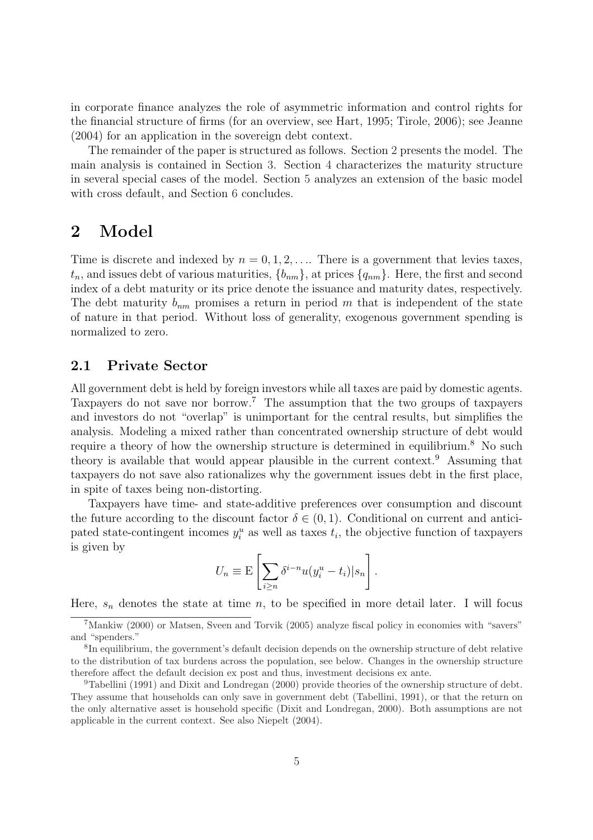in corporate finance analyzes the role of asymmetric information and control rights for the financial structure of firms (for an overview, see Hart, 1995; Tirole, 2006); see Jeanne (2004) for an application in the sovereign debt context.

The remainder of the paper is structured as follows. Section 2 presents the model. The main analysis is contained in Section 3. Section 4 characterizes the maturity structure in several special cases of the model. Section 5 analyzes an extension of the basic model with cross default, and Section 6 concludes.

### 2 Model

Time is discrete and indexed by  $n = 0, 1, 2, \ldots$ . There is a government that levies taxes,  $t_n$ , and issues debt of various maturities,  $\{b_{nm}\}$ , at prices  $\{q_{nm}\}$ . Here, the first and second index of a debt maturity or its price denote the issuance and maturity dates, respectively. The debt maturity  $b_{nm}$  promises a return in period m that is independent of the state of nature in that period. Without loss of generality, exogenous government spending is normalized to zero.

### 2.1 Private Sector

All government debt is held by foreign investors while all taxes are paid by domestic agents. Taxpayers do not save nor borrow.<sup>7</sup> The assumption that the two groups of taxpayers and investors do not "overlap" is unimportant for the central results, but simplifies the analysis. Modeling a mixed rather than concentrated ownership structure of debt would require a theory of how the ownership structure is determined in equilibrium.<sup>8</sup> No such theory is available that would appear plausible in the current context.<sup>9</sup> Assuming that taxpayers do not save also rationalizes why the government issues debt in the first place, in spite of taxes being non-distorting.

Taxpayers have time- and state-additive preferences over consumption and discount the future according to the discount factor  $\delta \in (0,1)$ . Conditional on current and anticipated state-contingent incomes  $y_i^u$  as well as taxes  $t_i$ , the objective function of taxpayers is given by  $\overline{a}$ 

$$
U_n \equiv \mathcal{E}\left[\sum_{i\geq n} \delta^{i-n} u(y_i^u - t_i)|s_n\right].
$$

Here,  $s_n$  denotes the state at time n, to be specified in more detail later. I will focus

<sup>7</sup>Mankiw (2000) or Matsen, Sveen and Torvik (2005) analyze fiscal policy in economies with "savers" and "spenders."

<sup>8</sup> In equilibrium, the government's default decision depends on the ownership structure of debt relative to the distribution of tax burdens across the population, see below. Changes in the ownership structure therefore affect the default decision ex post and thus, investment decisions ex ante.

<sup>9</sup>Tabellini (1991) and Dixit and Londregan (2000) provide theories of the ownership structure of debt. They assume that households can only save in government debt (Tabellini, 1991), or that the return on the only alternative asset is household specific (Dixit and Londregan, 2000). Both assumptions are not applicable in the current context. See also Niepelt (2004).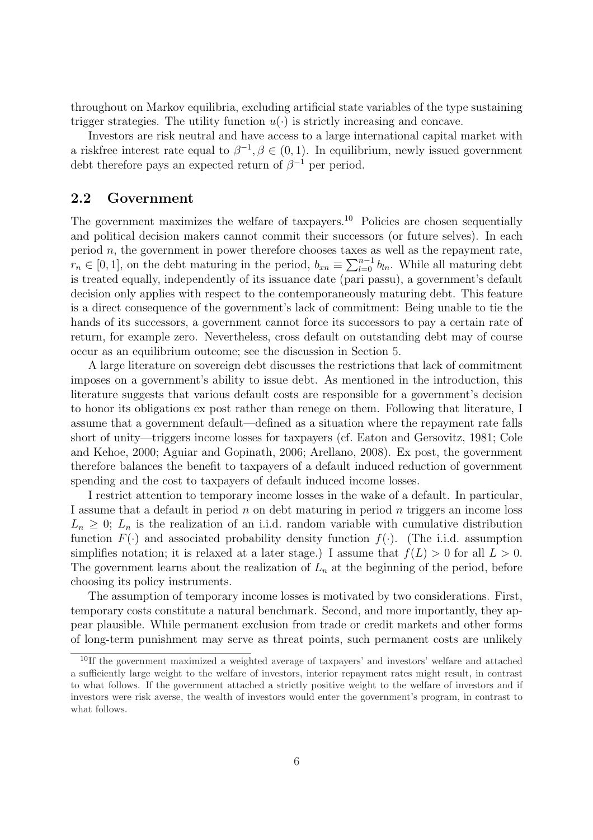throughout on Markov equilibria, excluding artificial state variables of the type sustaining trigger strategies. The utility function  $u(\cdot)$  is strictly increasing and concave.

Investors are risk neutral and have access to a large international capital market with a riskfree interest rate equal to  $\beta^{-1}, \beta \in (0, 1)$ . In equilibrium, newly issued government debt therefore pays an expected return of  $\beta^{-1}$  per period.

#### 2.2 Government

The government maximizes the welfare of taxpayers.<sup>10</sup> Policies are chosen sequentially and political decision makers cannot commit their successors (or future selves). In each period  $n$ , the government in power therefore chooses taxes as well as the repayment rate, period *n*, the government in power therefore chooses taxes a<br> $r_n \in [0,1]$ , on the debt maturing in the period,  $b_{xn} \equiv \sum_{l=0}^{n-1}$  $\binom{n-1}{l=0} b_{ln}$ . While all maturing debt is treated equally, independently of its issuance date (pari passu), a government's default decision only applies with respect to the contemporaneously maturing debt. This feature is a direct consequence of the government's lack of commitment: Being unable to tie the hands of its successors, a government cannot force its successors to pay a certain rate of return, for example zero. Nevertheless, cross default on outstanding debt may of course occur as an equilibrium outcome; see the discussion in Section 5.

A large literature on sovereign debt discusses the restrictions that lack of commitment imposes on a government's ability to issue debt. As mentioned in the introduction, this literature suggests that various default costs are responsible for a government's decision to honor its obligations ex post rather than renege on them. Following that literature, I assume that a government default—defined as a situation where the repayment rate falls short of unity—triggers income losses for taxpayers (cf. Eaton and Gersovitz, 1981; Cole and Kehoe, 2000; Aguiar and Gopinath, 2006; Arellano, 2008). Ex post, the government therefore balances the benefit to taxpayers of a default induced reduction of government spending and the cost to taxpayers of default induced income losses.

I restrict attention to temporary income losses in the wake of a default. In particular, I assume that a default in period  $n$  on debt maturing in period  $n$  triggers an income loss  $L_n \geq 0$ ;  $L_n$  is the realization of an i.i.d. random variable with cumulative distribution function  $F(\cdot)$  and associated probability density function  $f(\cdot)$ . (The i.i.d. assumption simplifies notation; it is relaxed at a later stage.) I assume that  $f(L) > 0$  for all  $L > 0$ . The government learns about the realization of  $L_n$  at the beginning of the period, before choosing its policy instruments.

The assumption of temporary income losses is motivated by two considerations. First, temporary costs constitute a natural benchmark. Second, and more importantly, they appear plausible. While permanent exclusion from trade or credit markets and other forms of long-term punishment may serve as threat points, such permanent costs are unlikely

<sup>10</sup>If the government maximized a weighted average of taxpayers' and investors' welfare and attached a sufficiently large weight to the welfare of investors, interior repayment rates might result, in contrast to what follows. If the government attached a strictly positive weight to the welfare of investors and if investors were risk averse, the wealth of investors would enter the government's program, in contrast to what follows.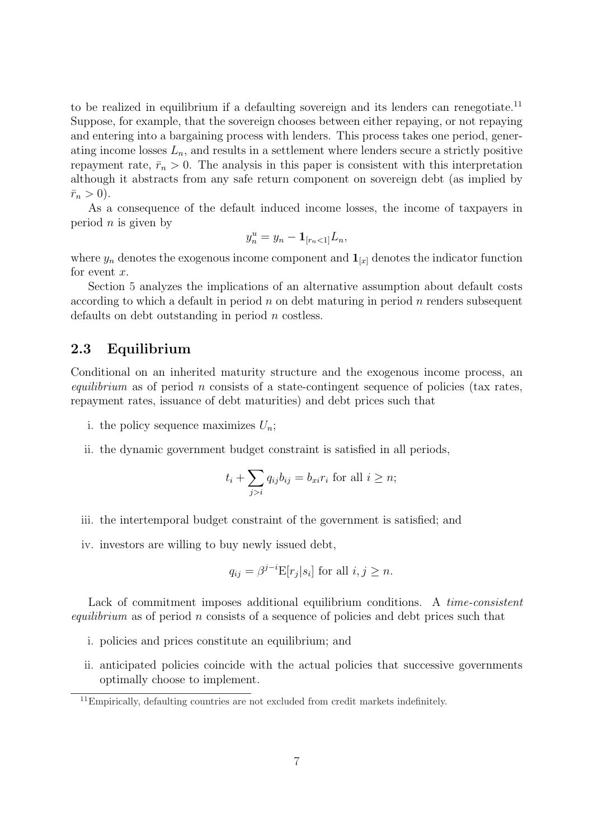to be realized in equilibrium if a defaulting sovereign and its lenders can renegotiate.<sup>11</sup> Suppose, for example, that the sovereign chooses between either repaying, or not repaying and entering into a bargaining process with lenders. This process takes one period, generating income losses  $L_n$ , and results in a settlement where lenders secure a strictly positive repayment rate,  $\bar{r}_n > 0$ . The analysis in this paper is consistent with this interpretation although it abstracts from any safe return component on sovereign debt (as implied by  $\bar{r}_n > 0$ ).

As a consequence of the default induced income losses, the income of taxpayers in period  $n$  is given by

$$
y_n^u = y_n - \mathbf{1}_{[r_n < 1]} L_n,
$$

where  $y_n$  denotes the exogenous income component and  $\mathbf{1}_{[x]}$  denotes the indicator function for event  $x$ .

Section 5 analyzes the implications of an alternative assumption about default costs according to which a default in period  $n$  on debt maturing in period  $n$  renders subsequent defaults on debt outstanding in period  $n$  costless.

### 2.3 Equilibrium

Conditional on an inherited maturity structure and the exogenous income process, an equilibrium as of period n consists of a state-contingent sequence of policies (tax rates, repayment rates, issuance of debt maturities) and debt prices such that

- i. the policy sequence maximizes  $U_n$ ;
- ii. the dynamic government budget constraint is satisfied in all periods,

$$
t_i + \sum_{j>i} q_{ij} b_{ij} = b_{xi} r_i \text{ for all } i \geq n;
$$

- iii. the intertemporal budget constraint of the government is satisfied; and
- iv. investors are willing to buy newly issued debt,

$$
q_{ij} = \beta^{j-i} \mathbb{E}[r_j|s_i]
$$
 for all  $i, j \geq n$ .

Lack of commitment imposes additional equilibrium conditions. A time-consistent equilibrium as of period n consists of a sequence of policies and debt prices such that

- i. policies and prices constitute an equilibrium; and
- ii. anticipated policies coincide with the actual policies that successive governments optimally choose to implement.

<sup>&</sup>lt;sup>11</sup>Empirically, defaulting countries are not excluded from credit markets indefinitely.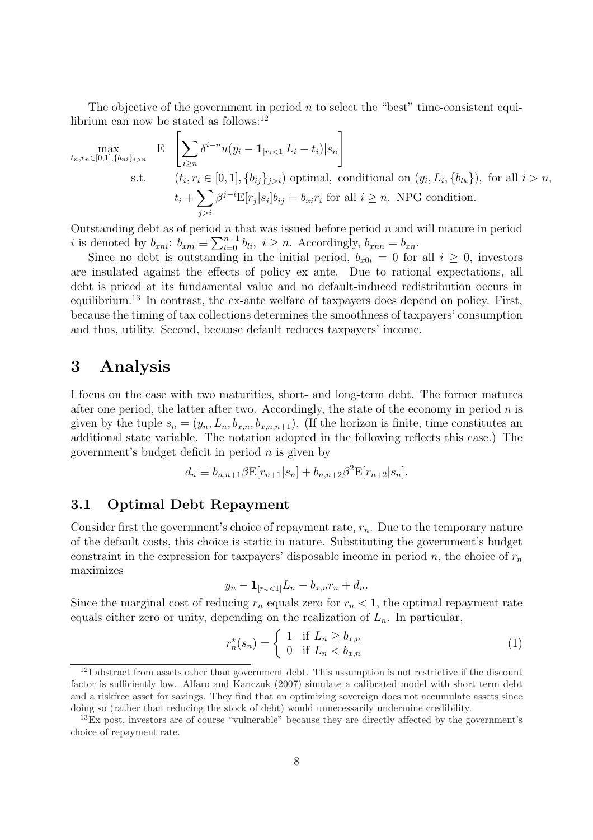The objective of the government in period  $n$  to select the "best" time-consistent equilibrium can now be stated as follows:<sup>12</sup>  $\overline{a}$ 

$$
\max_{t_n, r_n \in [0,1], \{b_{ni}\}_{i>n}} \quad \text{E} \quad \left| \sum_{i \ge n} \delta^{i-n} u(y_i - \mathbf{1}_{[r_i < 1]} L_i - t_i) \big| s_n \right|
$$
\n
$$
\text{s.t.} \qquad (t_i, r_i \in [0,1], \{b_{ij}\}_{j>i}) \text{ optimal, conditional on } (y_i, L_i, \{b_{lk}\}), \text{ for all } i > n,
$$
\n
$$
t_i + \sum_{j>i} \beta^{j-i} \mathbb{E}[r_j | s_i] b_{ij} = b_{xi} r_i \text{ for all } i \ge n, \text{ NPG condition.}
$$

Outstanding debt as of period  $n$  that was issued before period  $n$  and will mature in period Outstanding debt as of period  $n$  to it is denoted by  $b_{xni}$ :  $b_{xni} \equiv \sum_{l=0}^{n-1}$  $\sum_{l=0}^{n-1} b_{li}, i \geq n$ . Accordingly,  $b_{xnn} = b_{xn}$ .

Since no debt is outstanding in the initial period,  $b_{x0i} = 0$  for all  $i \geq 0$ , investors are insulated against the effects of policy ex ante. Due to rational expectations, all debt is priced at its fundamental value and no default-induced redistribution occurs in equilibrium.<sup>13</sup> In contrast, the ex-ante welfare of taxpayers does depend on policy. First, because the timing of tax collections determines the smoothness of taxpayers' consumption and thus, utility. Second, because default reduces taxpayers' income.

### 3 Analysis

I focus on the case with two maturities, short- and long-term debt. The former matures after one period, the latter after two. Accordingly, the state of the economy in period  $n$  is given by the tuple  $s_n = (y_n, L_n, b_{x,n}, b_{x,n+1})$ . (If the horizon is finite, time constitutes an additional state variable. The notation adopted in the following reflects this case.) The government's budget deficit in period  $n$  is given by

$$
d_n \equiv b_{n,n+1} \beta \mathbf{E}[r_{n+1}|s_n] + b_{n,n+2} \beta^2 \mathbf{E}[r_{n+2}|s_n].
$$

### 3.1 Optimal Debt Repayment

Consider first the government's choice of repayment rate,  $r_n$ . Due to the temporary nature of the default costs, this choice is static in nature. Substituting the government's budget constraint in the expression for taxpayers' disposable income in period n, the choice of  $r_n$ maximizes

$$
y_n - \mathbf{1}_{[r_n < 1]} L_n - b_{x,n} r_n + d_n.
$$

Since the marginal cost of reducing  $r_n$  equals zero for  $r_n < 1$ , the optimal repayment rate equals either zero or unity, depending on the realization of  $L_n$ . In particular,

$$
r_n^*(s_n) = \begin{cases} 1 & \text{if } L_n \ge b_{x,n} \\ 0 & \text{if } L_n < b_{x,n} \end{cases}
$$
 (1)

<sup>&</sup>lt;sup>12</sup>I abstract from assets other than government debt. This assumption is not restrictive if the discount factor is sufficiently low. Alfaro and Kanczuk (2007) simulate a calibrated model with short term debt and a riskfree asset for savings. They find that an optimizing sovereign does not accumulate assets since doing so (rather than reducing the stock of debt) would unnecessarily undermine credibility.

<sup>13</sup>Ex post, investors are of course "vulnerable" because they are directly affected by the government's choice of repayment rate.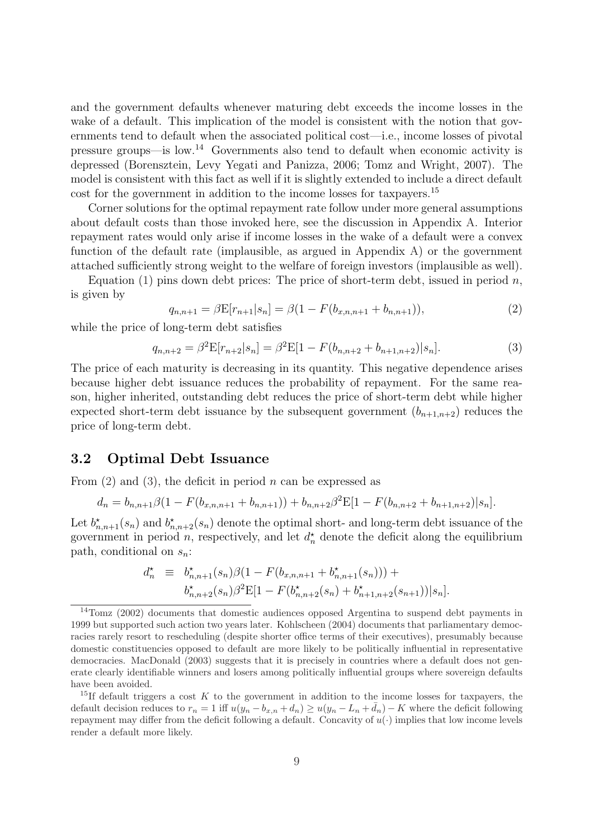and the government defaults whenever maturing debt exceeds the income losses in the wake of a default. This implication of the model is consistent with the notion that governments tend to default when the associated political cost—i.e., income losses of pivotal pressure groups—is low.<sup>14</sup> Governments also tend to default when economic activity is depressed (Borensztein, Levy Yegati and Panizza, 2006; Tomz and Wright, 2007). The model is consistent with this fact as well if it is slightly extended to include a direct default cost for the government in addition to the income losses for taxpayers.<sup>15</sup>

Corner solutions for the optimal repayment rate follow under more general assumptions about default costs than those invoked here, see the discussion in Appendix A. Interior repayment rates would only arise if income losses in the wake of a default were a convex function of the default rate (implausible, as argued in Appendix A) or the government attached sufficiently strong weight to the welfare of foreign investors (implausible as well).

Equation (1) pins down debt prices: The price of short-term debt, issued in period  $n$ , is given by

$$
q_{n,n+1} = \beta \mathbb{E}[r_{n+1}|s_n] = \beta(1 - F(b_{x,n,n+1} + b_{n,n+1})),\tag{2}
$$

while the price of long-term debt satisfies

$$
q_{n,n+2} = \beta^2 \mathbb{E}[r_{n+2}|s_n] = \beta^2 \mathbb{E}[1 - F(b_{n,n+2} + b_{n+1,n+2})|s_n]. \tag{3}
$$

The price of each maturity is decreasing in its quantity. This negative dependence arises because higher debt issuance reduces the probability of repayment. For the same reason, higher inherited, outstanding debt reduces the price of short-term debt while higher expected short-term debt issuance by the subsequent government  $(b_{n+1,n+2})$  reduces the price of long-term debt.

#### 3.2 Optimal Debt Issuance

From  $(2)$  and  $(3)$ , the deficit in period *n* can be expressed as

$$
d_n = b_{n,n+1}\beta(1 - F(b_{x,n,n+1} + b_{n,n+1})) + b_{n,n+2}\beta^2 \mathbb{E}[1 - F(b_{n,n+2} + b_{n+1,n+2})|s_n].
$$

Let  $b_{n,n+1}^{\star}(s_n)$  and  $b_{n,n+2}^{\star}(s_n)$  denote the optimal short- and long-term debt issuance of the government in period n, respectively, and let  $d_n^*$  denote the deficit along the equilibrium path, conditional on  $s_n$ :

$$
d_n^{\star} \equiv b_{n,n+1}^{\star}(s_n)\beta(1 - F(b_{x,n,n+1} + b_{n,n+1}^{\star}(s_n))) + b_{n,n+2}^{\star}(s_n)\beta^2 \mathbf{E}[1 - F(b_{n,n+2}^{\star}(s_n) + b_{n+1,n+2}^{\star}(s_{n+1}))|s_n].
$$

<sup>&</sup>lt;sup>14</sup>Tomz (2002) documents that domestic audiences opposed Argentina to suspend debt payments in 1999 but supported such action two years later. Kohlscheen (2004) documents that parliamentary democracies rarely resort to rescheduling (despite shorter office terms of their executives), presumably because domestic constituencies opposed to default are more likely to be politically influential in representative democracies. MacDonald (2003) suggests that it is precisely in countries where a default does not generate clearly identifiable winners and losers among politically influential groups where sovereign defaults have been avoided.

<sup>&</sup>lt;sup>15</sup>If default triggers a cost K to the government in addition to the income losses for taxpayers, the default decision reduces to  $r_n = 1$  iff  $u(y_n - b_{x,n} + d_n) \ge u(y_n - L_n + \bar{d}_n) - K$  where the deficit following repayment may differ from the deficit following a default. Concavity of  $u(\cdot)$  implies that low income levels render a default more likely.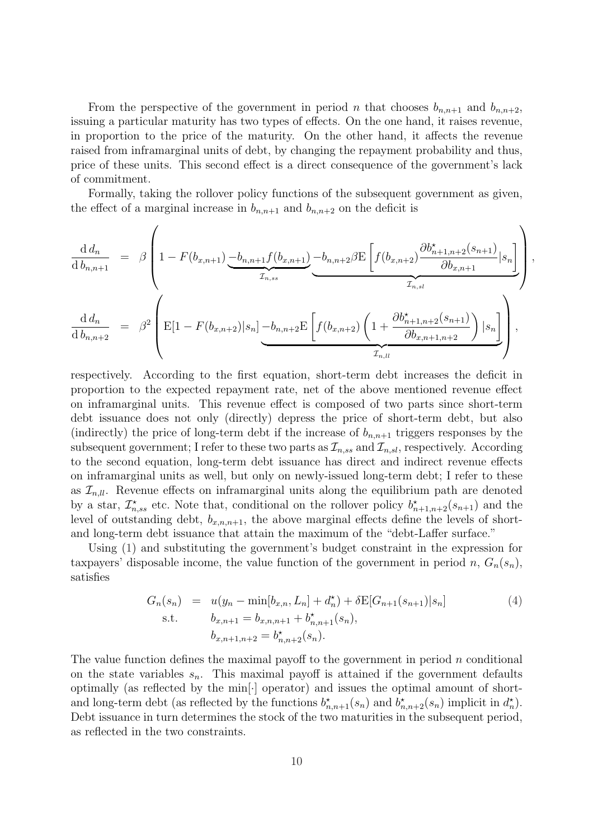From the perspective of the government in period n that chooses  $b_{n,n+1}$  and  $b_{n,n+2}$ , issuing a particular maturity has two types of effects. On the one hand, it raises revenue, in proportion to the price of the maturity. On the other hand, it affects the revenue raised from inframarginal units of debt, by changing the repayment probability and thus, price of these units. This second effect is a direct consequence of the government's lack of commitment.

Formally, taking the rollover policy functions of the subsequent government as given, the effect of a marginal increase in  $b_{n,n+1}$  and  $b_{n,n+2}$  on the deficit is

$$
\frac{d d_n}{d b_{n,n+1}} = \beta \left( 1 - F(b_{x,n+1}) \underbrace{-b_{n,n+1} f(b_{x,n+1})}_{\mathcal{I}_{n,ss}} - b_{n,n+2} \beta E \left[ f(b_{x,n+2}) \frac{\partial b_{n+1,n+2}^{\star}(s_{n+1})}{\partial b_{x,n+1}} | s_n \right] \right)
$$
\n
$$
\frac{d d_n}{d b_{n,n+2}} = \beta^2 \left( E[1 - F(b_{x,n+2}) | s_n] - b_{n,n+2} E \left[ f(b_{x,n+2}) \left( 1 + \frac{\partial b_{n+1,n+2}^{\star}(s_{n+1})}{\partial b_{x,n+1,n+2}} \right) | s_n \right] \right),
$$

,

respectively. According to the first equation, short-term debt increases the deficit in proportion to the expected repayment rate, net of the above mentioned revenue effect on inframarginal units. This revenue effect is composed of two parts since short-term debt issuance does not only (directly) depress the price of short-term debt, but also (indirectly) the price of long-term debt if the increase of  $b_{n,n+1}$  triggers responses by the subsequent government; I refer to these two parts as  $\mathcal{I}_{n,ss}$  and  $\mathcal{I}_{n,sl}$ , respectively. According to the second equation, long-term debt issuance has direct and indirect revenue effects on inframarginal units as well, but only on newly-issued long-term debt; I refer to these as  $\mathcal{I}_{nll}$ . Revenue effects on inframarginal units along the equilibrium path are denoted by a star,  $\mathcal{I}_{n,ss}^{\star}$  etc. Note that, conditional on the rollover policy  $b_{n+1,n+2}^{\star}(s_{n+1})$  and the level of outstanding debt,  $b_{x,n,n+1}$ , the above marginal effects define the levels of shortand long-term debt issuance that attain the maximum of the "debt-Laffer surface."

Using (1) and substituting the government's budget constraint in the expression for taxpayers' disposable income, the value function of the government in period n,  $G_n(s_n)$ , satisfies

$$
G_n(s_n) = u(y_n - \min[b_{x,n}, L_n] + d_n^*) + \delta \mathbb{E}[G_{n+1}(s_{n+1})|s_n]
$$
  
s.t. 
$$
b_{x,n+1} = b_{x,n,n+1} + b_{n,n+1}^*(s_n),
$$

$$
b_{x,n+1,n+2} = b_{n,n+2}^*(s_n).
$$

$$
(4)
$$

The value function defines the maximal payoff to the government in period  $n$  conditional on the state variables  $s_n$ . This maximal payoff is attained if the government defaults optimally (as reflected by the min[·] operator) and issues the optimal amount of shortand long-term debt (as reflected by the functions  $b_{n,n+1}^{\star}(s_n)$  and  $b_{n,n+2}^{\star}(s_n)$  implicit in  $d_n^{\star}$ ). Debt issuance in turn determines the stock of the two maturities in the subsequent period, as reflected in the two constraints.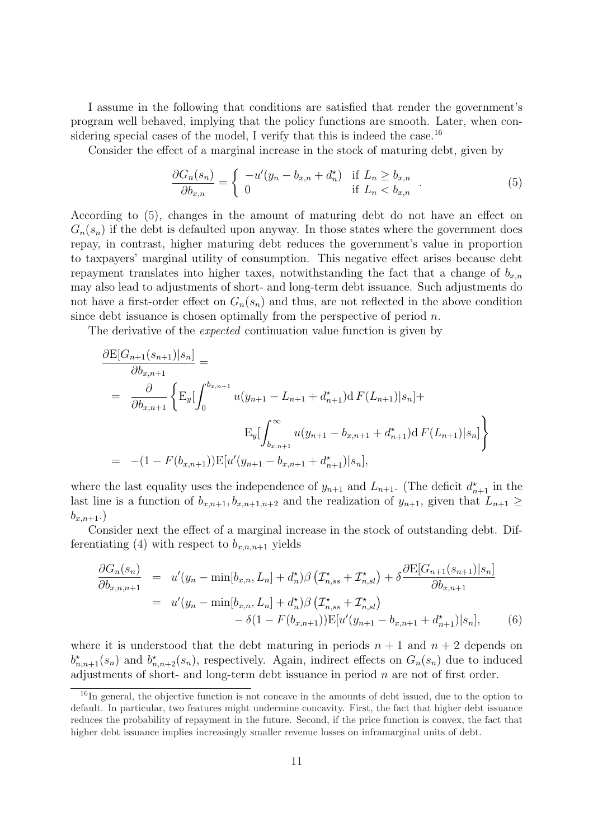I assume in the following that conditions are satisfied that render the government's program well behaved, implying that the policy functions are smooth. Later, when considering special cases of the model, I verify that this is indeed the case.<sup>16</sup>

Consider the effect of a marginal increase in the stock of maturing debt, given by

$$
\frac{\partial G_n(s_n)}{\partial b_{x,n}} = \begin{cases} -u'(y_n - b_{x,n} + d_n^*) & \text{if } L_n \ge b_{x,n} \\ 0 & \text{if } L_n < b_{x,n} \end{cases} \tag{5}
$$

According to (5), changes in the amount of maturing debt do not have an effect on  $G_n(s_n)$  if the debt is defaulted upon anyway. In those states where the government does repay, in contrast, higher maturing debt reduces the government's value in proportion to taxpayers' marginal utility of consumption. This negative effect arises because debt repayment translates into higher taxes, notwithstanding the fact that a change of  $b_{x,n}$ may also lead to adjustments of short- and long-term debt issuance. Such adjustments do not have a first-order effect on  $G_n(s_n)$  and thus, are not reflected in the above condition since debt issuance is chosen optimally from the perspective of period  $n$ .

The derivative of the expected continuation value function is given by

$$
\frac{\partial \mathcal{E}[G_{n+1}(s_{n+1})|s_n]}{\partial b_{x,n+1}} =
$$
\n
$$
= \frac{\partial}{\partial b_{x,n+1}} \left\{ \mathcal{E}_y \left[ \int_0^{b_{x,n+1}} u(y_{n+1} - L_{n+1} + d_{n+1}^{\star}) d F(L_{n+1}) |s_n] + \mathcal{E}_y \left[ \int_{b_{x,n+1}}^{\infty} u(y_{n+1} - b_{x,n+1} + d_{n+1}^{\star}) d F(L_{n+1}) |s_n] \right] \right\}
$$
\n
$$
= -(1 - F(b_{x,n+1})) \mathcal{E}[u'(y_{n+1} - b_{x,n+1} + d_{n+1}^{\star}) |s_n],
$$

where the last equality uses the independence of  $y_{n+1}$  and  $L_{n+1}$ . (The deficit  $d_{n+1}^{\star}$  in the last line is a function of  $b_{x,n+1}, b_{x,n+1,n+2}$  and the realization of  $y_{n+1}$ , given that  $L_{n+1} \geq$  $b_{x,n+1}$ .

Consider next the effect of a marginal increase in the stock of outstanding debt. Differentiating (4) with respect to  $b_{x,n,n+1}$  yields

$$
\frac{\partial G_n(s_n)}{\partial b_{x,n,n+1}} = u'(y_n - \min[b_{x,n}, L_n] + d_n^*)\beta \left( \mathcal{I}_{n,ss}^{\star} + \mathcal{I}_{n,sl}^{\star} \right) + \delta \frac{\partial E[G_{n+1}(s_{n+1})|s_n]}{\partial b_{x,n+1}}
$$
  
\n
$$
= u'(y_n - \min[b_{x,n}, L_n] + d_n^*)\beta \left( \mathcal{I}_{n,ss}^{\star} + \mathcal{I}_{n,sl}^{\star} \right)
$$
  
\n
$$
- \delta (1 - F(b_{x,n+1})) E[u'(y_{n+1} - b_{x,n+1} + d_{n+1}^*)|s_n], \qquad (6)
$$

where it is understood that the debt maturing in periods  $n + 1$  and  $n + 2$  depends on  $b_{n,n+1}^{\star}(s_n)$  and  $b_{n,n+2}^{\star}(s_n)$ , respectively. Again, indirect effects on  $G_n(s_n)$  due to induced adjustments of short- and long-term debt issuance in period  $n$  are not of first order.

 $16$ In general, the objective function is not concave in the amounts of debt issued, due to the option to default. In particular, two features might undermine concavity. First, the fact that higher debt issuance reduces the probability of repayment in the future. Second, if the price function is convex, the fact that higher debt issuance implies increasingly smaller revenue losses on inframarginal units of debt.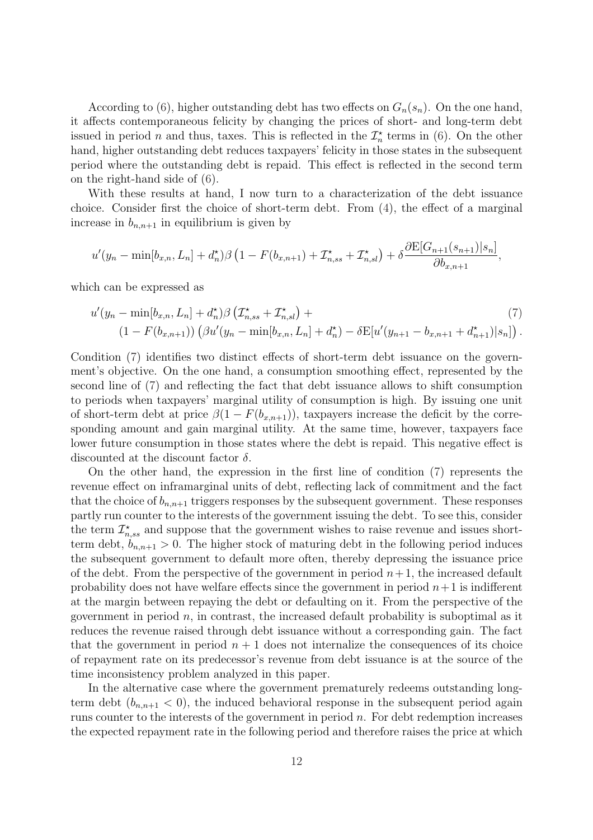According to (6), higher outstanding debt has two effects on  $G_n(s_n)$ . On the one hand, it affects contemporaneous felicity by changing the prices of short- and long-term debt issued in period *n* and thus, taxes. This is reflected in the  $\mathcal{I}_n^*$  terms in (6). On the other hand, higher outstanding debt reduces taxpayers' felicity in those states in the subsequent period where the outstanding debt is repaid. This effect is reflected in the second term on the right-hand side of (6).

With these results at hand, I now turn to a characterization of the debt issuance choice. Consider first the choice of short-term debt. From (4), the effect of a marginal increase in  $b_{n,n+1}$  in equilibrium is given by

$$
u'(y_n - \min[b_{x,n}, L_n] + d_n^{\star})\beta \left(1 - F(b_{x,n+1}) + \mathcal{I}_{n,ss}^{\star} + \mathcal{I}_{n,sl}^{\star}\right) + \delta \frac{\partial E[G_{n+1}(s_{n+1})|s_n]}{\partial b_{x,n+1}}
$$

,

which can be expressed as

$$
u'(y_n - \min[b_{x,n}, L_n] + d_n^*)\beta \left( \mathcal{I}_{n,ss}^* + \mathcal{I}_{n,sl}^* \right) +
$$
  
\n
$$
(1 - F(b_{x,n+1})) \left( \beta u'(y_n - \min[b_{x,n}, L_n] + d_n^*) - \delta E[u'(y_{n+1} - b_{x,n+1} + d_{n+1}^*)|s_n] \right).
$$
\n(7)

Condition (7) identifies two distinct effects of short-term debt issuance on the government's objective. On the one hand, a consumption smoothing effect, represented by the second line of (7) and reflecting the fact that debt issuance allows to shift consumption to periods when taxpayers' marginal utility of consumption is high. By issuing one unit of short-term debt at price  $\beta(1 - F(b_{x,n+1}))$ , taxpayers increase the deficit by the corresponding amount and gain marginal utility. At the same time, however, taxpayers face lower future consumption in those states where the debt is repaid. This negative effect is discounted at the discount factor  $\delta$ .

On the other hand, the expression in the first line of condition (7) represents the revenue effect on inframarginal units of debt, reflecting lack of commitment and the fact that the choice of  $b_{n,n+1}$  triggers responses by the subsequent government. These responses partly run counter to the interests of the government issuing the debt. To see this, consider the term  $\mathcal{I}_{n,ss}^{\star}$  and suppose that the government wishes to raise revenue and issues shortterm debt,  $b_{n,n+1} > 0$ . The higher stock of maturing debt in the following period induces the subsequent government to default more often, thereby depressing the issuance price of the debt. From the perspective of the government in period  $n+1$ , the increased default probability does not have welfare effects since the government in period  $n+1$  is indifferent at the margin between repaying the debt or defaulting on it. From the perspective of the government in period  $n$ , in contrast, the increased default probability is suboptimal as it reduces the revenue raised through debt issuance without a corresponding gain. The fact that the government in period  $n + 1$  does not internalize the consequences of its choice of repayment rate on its predecessor's revenue from debt issuance is at the source of the time inconsistency problem analyzed in this paper.

In the alternative case where the government prematurely redeems outstanding longterm debt  $(b_{n,n+1} < 0)$ , the induced behavioral response in the subsequent period again runs counter to the interests of the government in period  $n$ . For debt redemption increases the expected repayment rate in the following period and therefore raises the price at which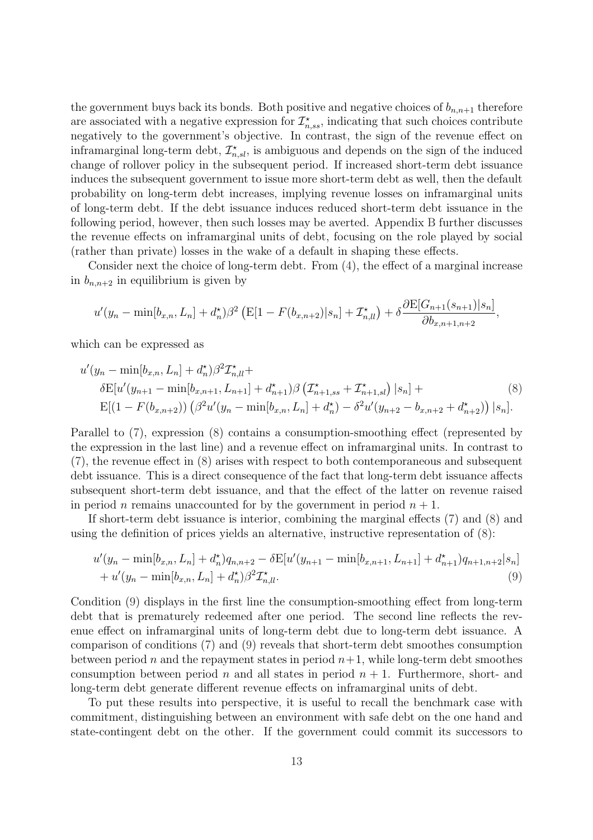the government buys back its bonds. Both positive and negative choices of  $b_{n,n+1}$  therefore are associated with a negative expression for  $\mathcal{I}^\star_{n,ss}$ , indicating that such choices contribute negatively to the government's objective. In contrast, the sign of the revenue effect on inframarginal long-term debt,  $\mathcal{I}_{n,sl}^{\star}$ , is ambiguous and depends on the sign of the induced change of rollover policy in the subsequent period. If increased short-term debt issuance induces the subsequent government to issue more short-term debt as well, then the default probability on long-term debt increases, implying revenue losses on inframarginal units of long-term debt. If the debt issuance induces reduced short-term debt issuance in the following period, however, then such losses may be averted. Appendix B further discusses the revenue effects on inframarginal units of debt, focusing on the role played by social (rather than private) losses in the wake of a default in shaping these effects.

Consider next the choice of long-term debt. From (4), the effect of a marginal increase in  $b_{n,n+2}$  in equilibrium is given by

$$
u'(y_n - \min[b_{x,n}, L_n] + d_n^{\star})\beta^2 \left( \mathbb{E}[1 - F(b_{x,n+2})|s_n] + \mathcal{I}_{n,l}^{\star} \right) + \delta \frac{\partial \mathbb{E}[G_{n+1}(s_{n+1})|s_n]}{\partial b_{x,n+1,n+2}},
$$

which can be expressed as

$$
u'(y_n - \min[b_{x,n}, L_n] + d_n^{\star})\beta^2 \mathcal{I}_{n,ll}^{\star} +
$$
  
\n
$$
\delta E[u'(y_{n+1} - \min[b_{x,n+1}, L_{n+1}] + d_{n+1}^{\star})\beta (\mathcal{I}_{n+1,ss}^{\star} + \mathcal{I}_{n+1,sl}^{\star}) |s_n] +
$$
  
\n
$$
E[(1 - F(b_{x,n+2})) (\beta^2 u'(y_n - \min[b_{x,n}, L_n] + d_n^{\star}) - \delta^2 u'(y_{n+2} - b_{x,n+2} + d_{n+2}^{\star})) |s_n].
$$
\n(8)

Parallel to (7), expression (8) contains a consumption-smoothing effect (represented by the expression in the last line) and a revenue effect on inframarginal units. In contrast to (7), the revenue effect in (8) arises with respect to both contemporaneous and subsequent debt issuance. This is a direct consequence of the fact that long-term debt issuance affects subsequent short-term debt issuance, and that the effect of the latter on revenue raised in period *n* remains unaccounted for by the government in period  $n + 1$ .

If short-term debt issuance is interior, combining the marginal effects (7) and (8) and using the definition of prices yields an alternative, instructive representation of (8):

$$
u'(y_n - \min[b_{x,n}, L_n] + d_n^{\star})q_{n,n+2} - \delta E[u'(y_{n+1} - \min[b_{x,n+1}, L_{n+1}] + d_{n+1}^{\star})q_{n+1,n+2}|s_n] + u'(y_n - \min[b_{x,n}, L_n] + d_n^{\star})\beta^2 \mathcal{I}_{n,ll}^{\star}.
$$
\n(9)

Condition (9) displays in the first line the consumption-smoothing effect from long-term debt that is prematurely redeemed after one period. The second line reflects the revenue effect on inframarginal units of long-term debt due to long-term debt issuance. A comparison of conditions (7) and (9) reveals that short-term debt smoothes consumption between period n and the repayment states in period  $n+1$ , while long-term debt smoothes consumption between period n and all states in period  $n + 1$ . Furthermore, short- and long-term debt generate different revenue effects on inframarginal units of debt.

To put these results into perspective, it is useful to recall the benchmark case with commitment, distinguishing between an environment with safe debt on the one hand and state-contingent debt on the other. If the government could commit its successors to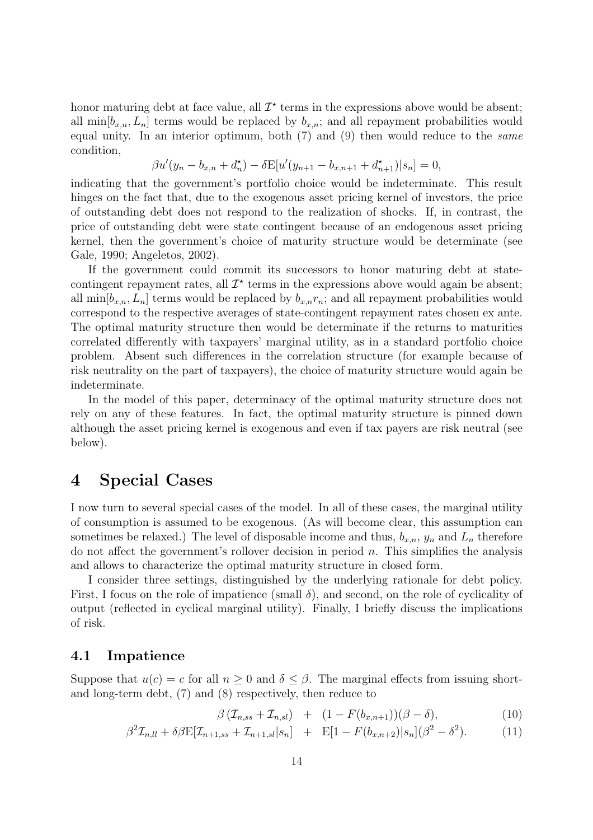honor maturing debt at face value, all  $\mathcal{I}^*$  terms in the expressions above would be absent; all  $\min[b_{x,n}, L_n]$  terms would be replaced by  $b_{x,n}$ ; and all repayment probabilities would equal unity. In an interior optimum, both (7) and (9) then would reduce to the same condition,

$$
\beta u'(y_n - b_{x,n} + d_n^{\star}) - \delta E[u'(y_{n+1} - b_{x,n+1} + d_{n+1}^{\star})|s_n] = 0,
$$

indicating that the government's portfolio choice would be indeterminate. This result hinges on the fact that, due to the exogenous asset pricing kernel of investors, the price of outstanding debt does not respond to the realization of shocks. If, in contrast, the price of outstanding debt were state contingent because of an endogenous asset pricing kernel, then the government's choice of maturity structure would be determinate (see Gale, 1990; Angeletos, 2002).

If the government could commit its successors to honor maturing debt at statecontingent repayment rates, all  $\mathcal{I}^*$  terms in the expressions above would again be absent; all  $\min[b_{x,n}, L_n]$  terms would be replaced by  $b_{x,n}r_n$ ; and all repayment probabilities would correspond to the respective averages of state-contingent repayment rates chosen ex ante. The optimal maturity structure then would be determinate if the returns to maturities correlated differently with taxpayers' marginal utility, as in a standard portfolio choice problem. Absent such differences in the correlation structure (for example because of risk neutrality on the part of taxpayers), the choice of maturity structure would again be indeterminate.

In the model of this paper, determinacy of the optimal maturity structure does not rely on any of these features. In fact, the optimal maturity structure is pinned down although the asset pricing kernel is exogenous and even if tax payers are risk neutral (see below).

### 4 Special Cases

I now turn to several special cases of the model. In all of these cases, the marginal utility of consumption is assumed to be exogenous. (As will become clear, this assumption can sometimes be relaxed.) The level of disposable income and thus,  $b_{x,n}$ ,  $y_n$  and  $L_n$  therefore do not affect the government's rollover decision in period  $n$ . This simplifies the analysis and allows to characterize the optimal maturity structure in closed form.

I consider three settings, distinguished by the underlying rationale for debt policy. First, I focus on the role of impatience (small  $\delta$ ), and second, on the role of cyclicality of output (reflected in cyclical marginal utility). Finally, I briefly discuss the implications of risk.

### 4.1 Impatience

 $\beta^2$ 

Suppose that  $u(c) = c$  for all  $n \geq 0$  and  $\delta \leq \beta$ . The marginal effects from issuing shortand long-term debt, (7) and (8) respectively, then reduce to

$$
\beta \left( \mathcal{I}_{n,ss} + \mathcal{I}_{n,sl} \right) + (1 - F(b_{x,n+1})) (\beta - \delta), \tag{10}
$$

$$
\mathcal{I}_{n,ll} + \delta \beta \mathbf{E} [\mathcal{I}_{n+1,ss} + \mathcal{I}_{n+1,sl}|s_n] + \mathbf{E} [1 - F(b_{x,n+2})|s_n] (\beta^2 - \delta^2). \tag{11}
$$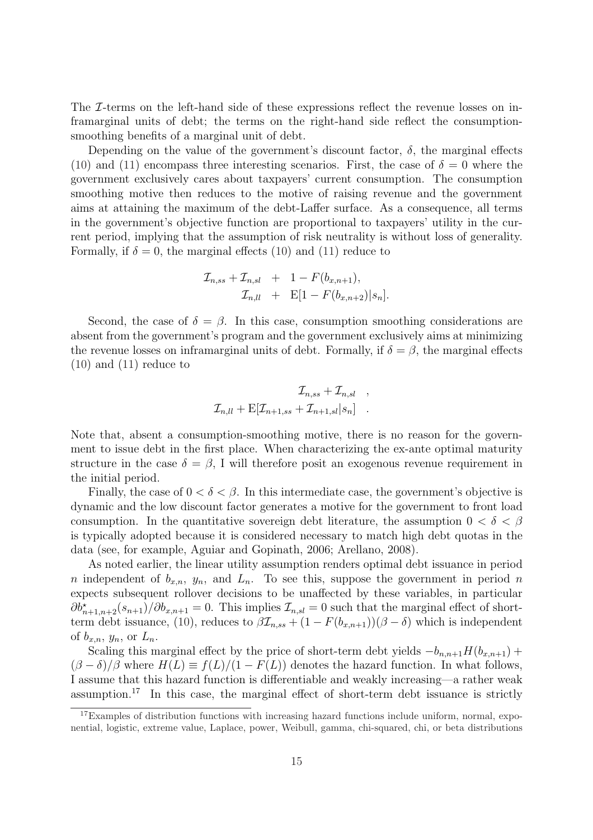The *I*-terms on the left-hand side of these expressions reflect the revenue losses on inframarginal units of debt; the terms on the right-hand side reflect the consumptionsmoothing benefits of a marginal unit of debt.

Depending on the value of the government's discount factor,  $\delta$ , the marginal effects (10) and (11) encompass three interesting scenarios. First, the case of  $\delta = 0$  where the government exclusively cares about taxpayers' current consumption. The consumption smoothing motive then reduces to the motive of raising revenue and the government aims at attaining the maximum of the debt-Laffer surface. As a consequence, all terms in the government's objective function are proportional to taxpayers' utility in the current period, implying that the assumption of risk neutrality is without loss of generality. Formally, if  $\delta = 0$ , the marginal effects (10) and (11) reduce to

$$
\mathcal{I}_{n,ss} + \mathcal{I}_{n,sl} + 1 - F(b_{x,n+1}),
$$
  
\n
$$
\mathcal{I}_{n,ll} + \mathbf{E}[1 - F(b_{x,n+2})|s_n].
$$

Second, the case of  $\delta = \beta$ . In this case, consumption smoothing considerations are absent from the government's program and the government exclusively aims at minimizing the revenue losses on inframarginal units of debt. Formally, if  $\delta = \beta$ , the marginal effects (10) and (11) reduce to

$$
\mathcal{I}_{n,ss} + \mathcal{I}_{n,sl} ,
$$
  

$$
\mathcal{I}_{n,ll} + \mathbf{E}[\mathcal{I}_{n+1,ss} + \mathcal{I}_{n+1,sl}|s_n] .
$$

Note that, absent a consumption-smoothing motive, there is no reason for the government to issue debt in the first place. When characterizing the ex-ante optimal maturity structure in the case  $\delta = \beta$ , I will therefore posit an exogenous revenue requirement in the initial period.

Finally, the case of  $0 < \delta < \beta$ . In this intermediate case, the government's objective is dynamic and the low discount factor generates a motive for the government to front load consumption. In the quantitative sovereign debt literature, the assumption  $0 < \delta < \beta$ is typically adopted because it is considered necessary to match high debt quotas in the data (see, for example, Aguiar and Gopinath, 2006; Arellano, 2008).

As noted earlier, the linear utility assumption renders optimal debt issuance in period n independent of  $b_{x,n}$ ,  $y_n$ , and  $L_n$ . To see this, suppose the government in period n expects subsequent rollover decisions to be unaffected by these variables, in particular  $\partial b_{n+1,n+2}^{\star}(s_{n+1})/\partial b_{x,n+1} = 0$ . This implies  $\mathcal{I}_{n,sl} = 0$  such that the marginal effect of shortterm debt issuance, (10), reduces to  $\beta \mathcal{I}_{n,ss} + (1 - F(b_{x,n+1}))(\beta - \delta)$  which is independent of  $b_{x,n}$ ,  $y_n$ , or  $L_n$ .

Scaling this marginal effect by the price of short-term debt yields  $-b_{n,n+1}H(b_{x,n+1}) +$  $(\beta - \delta)/\beta$  where  $H(L) \equiv f(L)/(1 - F(L))$  denotes the hazard function. In what follows, I assume that this hazard function is differentiable and weakly increasing—a rather weak assumption.<sup>17</sup> In this case, the marginal effect of short-term debt issuance is strictly

<sup>17</sup>Examples of distribution functions with increasing hazard functions include uniform, normal, exponential, logistic, extreme value, Laplace, power, Weibull, gamma, chi-squared, chi, or beta distributions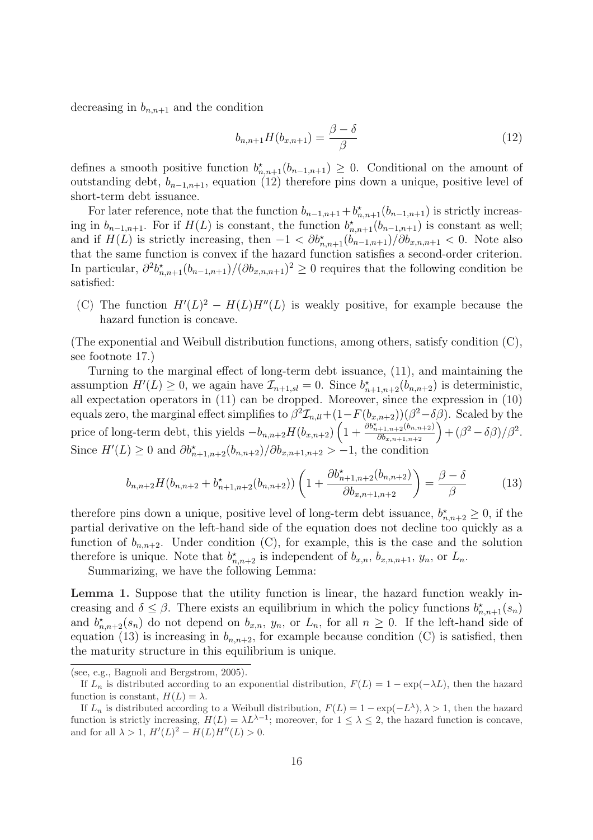decreasing in  $b_{n,n+1}$  and the condition

$$
b_{n,n+1}H(b_{x,n+1}) = \frac{\beta - \delta}{\beta} \tag{12}
$$

defines a smooth positive function  $b_{n,n+1}^{\star}(b_{n-1,n+1}) \geq 0$ . Conditional on the amount of outstanding debt,  $b_{n-1,n+1}$ , equation (12) therefore pins down a unique, positive level of short-term debt issuance.

For later reference, note that the function  $b_{n-1,n+1} + b_{n,n+1}^{\star}(b_{n-1,n+1})$  is strictly increasing in  $b_{n-1,n+1}$ . For if  $H(L)$  is constant, the function  $b_{n,n+1}^{\star}(b_{n-1,n+1})$  is constant as well; and if  $H(L)$  is strictly increasing, then  $-1 < \partial b_{n,n+1}^{\star}(b_{n-1,n+1})/\partial b_{x,n,n+1} < 0$ . Note also that the same function is convex if the hazard function satisfies a second-order criterion. In particular,  $\partial^2 b_{n,n+1}^*(b_{n-1,n+1})/(\partial b_{n,n+1})^2 \geq 0$  requires that the following condition be satisfied:

(C) The function  $H'(L)^2 - H(L)H''(L)$  is weakly positive, for example because the hazard function is concave.

(The exponential and Weibull distribution functions, among others, satisfy condition (C), see footnote 17.)

Turning to the marginal effect of long-term debt issuance, (11), and maintaining the assumption  $H'(L) \geq 0$ , we again have  $\mathcal{I}_{n+1,sl} = 0$ . Since  $b^*_{n+1,n+2}(b_{n,n+2})$  is deterministic, all expectation operators in (11) can be dropped. Moreover, since the expression in (10) equals zero, the marginal effect simplifies to  $\beta^2 \mathcal{I}_{nll} + (1 - F(b_{x,n+2}))(\beta^2 - \delta \beta)$ . Scaled by the price of long-term debt, this yields  $-b_{n,n+2}H(b_{x,n+2})$  $\frac{1-F(0_{x,n+2}))(p^2-0}{1+\frac{\partial b_{n+1,n+2}^*(b_{n,n+2})}{\partial b_{n+1,n+2}}}$  $\frac{(n+2)!(\beta^2-\delta\beta)}{\delta b_{x,n+1,n+2}} + (\beta^2-\delta\beta)/\beta^2.$ Since  $H'(L) \geq 0$  and  $\partial b_{n+1,n+2}^{\star}(b_{n,n+2})/\partial b_{n,n+1,n+2} > -1$ , the condition

$$
b_{n,n+2}H(b_{n,n+2}+b_{n+1,n+2}^*(b_{n,n+2}))\left(1+\frac{\partial b_{n+1,n+2}^*(b_{n,n+2})}{\partial b_{n,n+1,n+2}}\right)=\frac{\beta-\delta}{\beta}
$$
(13)

therefore pins down a unique, positive level of long-term debt issuance,  $b_{n,n+2}^* \geq 0$ , if the partial derivative on the left-hand side of the equation does not decline too quickly as a function of  $b_{n,n+2}$ . Under condition (C), for example, this is the case and the solution therefore is unique. Note that  $b_{n,n+2}^{\star}$  is independent of  $b_{x,n}, b_{x,n,n+1}, y_n$ , or  $L_n$ .

Summarizing, we have the following Lemma:

Lemma 1. Suppose that the utility function is linear, the hazard function weakly increasing and  $\delta \leq \beta$ . There exists an equilibrium in which the policy functions  $b^{\star}_{n,n+1}(s_n)$ and  $b_{n,n+2}^{\star}(s_n)$  do not depend on  $b_{x,n}$ ,  $y_n$ , or  $L_n$ , for all  $n \geq 0$ . If the left-hand side of equation (13) is increasing in  $b_{n,n+2}$ , for example because condition (C) is satisfied, then the maturity structure in this equilibrium is unique.

<sup>(</sup>see, e.g., Bagnoli and Bergstrom, 2005).

If  $L_n$  is distributed according to an exponential distribution,  $F(L) = 1 - \exp(-\lambda L)$ , then the hazard function is constant,  $H(L) = \lambda$ .

If  $L_n$  is distributed according to a Weibull distribution,  $F(L) = 1 - \exp(-L^{\lambda}), \lambda > 1$ , then the hazard function is strictly increasing,  $H(L) = \lambda L^{\lambda-1}$ ; moreover, for  $1 \leq \lambda \leq 2$ , the hazard function is concave, and for all  $\lambda > 1$ ,  $H'(L)^2 - H(L)H''(L) > 0$ .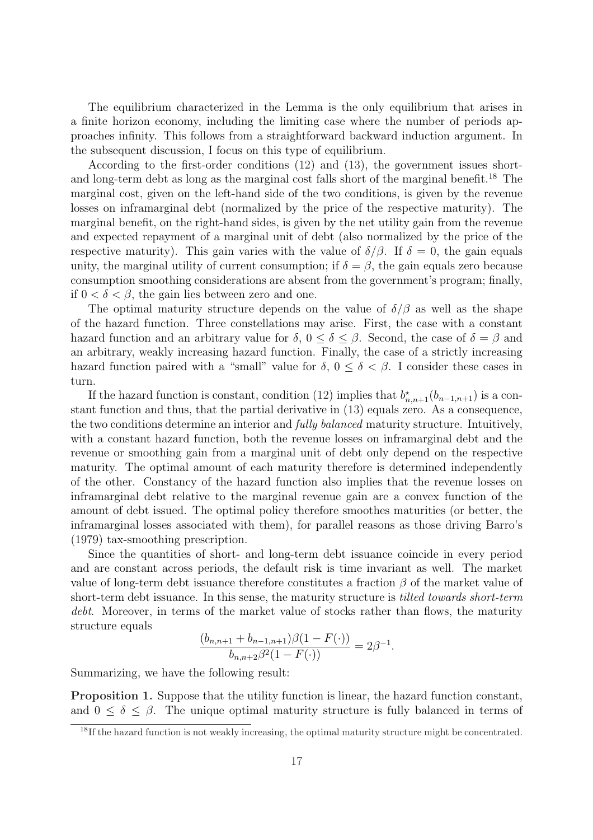The equilibrium characterized in the Lemma is the only equilibrium that arises in a finite horizon economy, including the limiting case where the number of periods approaches infinity. This follows from a straightforward backward induction argument. In the subsequent discussion, I focus on this type of equilibrium.

According to the first-order conditions (12) and (13), the government issues shortand long-term debt as long as the marginal cost falls short of the marginal benefit.<sup>18</sup> The marginal cost, given on the left-hand side of the two conditions, is given by the revenue losses on inframarginal debt (normalized by the price of the respective maturity). The marginal benefit, on the right-hand sides, is given by the net utility gain from the revenue and expected repayment of a marginal unit of debt (also normalized by the price of the respective maturity). This gain varies with the value of  $\delta/\beta$ . If  $\delta = 0$ , the gain equals unity, the marginal utility of current consumption; if  $\delta = \beta$ , the gain equals zero because consumption smoothing considerations are absent from the government's program; finally, if  $0 < \delta < \beta$ , the gain lies between zero and one.

The optimal maturity structure depends on the value of  $\delta/\beta$  as well as the shape of the hazard function. Three constellations may arise. First, the case with a constant hazard function and an arbitrary value for  $\delta$ ,  $0 \leq \delta \leq \beta$ . Second, the case of  $\delta = \beta$  and an arbitrary, weakly increasing hazard function. Finally, the case of a strictly increasing hazard function paired with a "small" value for  $\delta$ ,  $0 \leq \delta \leq \beta$ . I consider these cases in turn.

If the hazard function is constant, condition (12) implies that  $b^{\star}_{n,n+1}(b_{n-1,n+1})$  is a constant function and thus, that the partial derivative in (13) equals zero. As a consequence, the two conditions determine an interior and fully balanced maturity structure. Intuitively, with a constant hazard function, both the revenue losses on inframarginal debt and the revenue or smoothing gain from a marginal unit of debt only depend on the respective maturity. The optimal amount of each maturity therefore is determined independently of the other. Constancy of the hazard function also implies that the revenue losses on inframarginal debt relative to the marginal revenue gain are a convex function of the amount of debt issued. The optimal policy therefore smoothes maturities (or better, the inframarginal losses associated with them), for parallel reasons as those driving Barro's (1979) tax-smoothing prescription.

Since the quantities of short- and long-term debt issuance coincide in every period and are constant across periods, the default risk is time invariant as well. The market value of long-term debt issuance therefore constitutes a fraction  $\beta$  of the market value of short-term debt issuance. In this sense, the maturity structure is tilted towards short-term debt. Moreover, in terms of the market value of stocks rather than flows, the maturity structure equals

$$
\frac{(b_{n,n+1} + b_{n-1,n+1})\beta(1 - F(\cdot))}{b_{n,n+2}\beta^2(1 - F(\cdot))} = 2\beta^{-1}.
$$

Summarizing, we have the following result:

Proposition 1. Suppose that the utility function is linear, the hazard function constant, and  $0 \le \delta \le \beta$ . The unique optimal maturity structure is fully balanced in terms of

<sup>&</sup>lt;sup>18</sup>If the hazard function is not weakly increasing, the optimal maturity structure might be concentrated.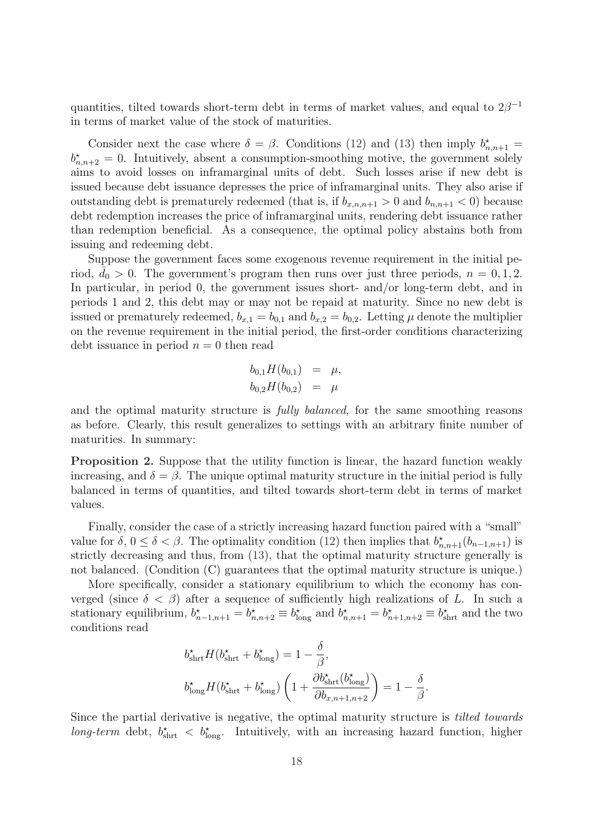quantities, tilted towards short-term debt in terms of market values, and equal to  $2\beta^{-1}$ in terms of market value of the stock of maturities.

Consider next the case where  $\delta = \beta$ . Conditions (12) and (13) then imply  $b^{\star}_{n,n+1} =$  $b_{n,n+2}^* = 0$ . Intuitively, absent a consumption-smoothing motive, the government solely aims to avoid losses on inframarginal units of debt. Such losses arise if new debt is issued because debt issuance depresses the price of inframarginal units. They also arise if outstanding debt is prematurely redeemed (that is, if  $b_{x,n,n+1} > 0$  and  $b_{n,n+1} < 0$ ) because debt redemption increases the price of inframarginal units, rendering debt issuance rather than redemption beneficial. As a consequence, the optimal policy abstains both from issuing and redeeming debt.

Suppose the government faces some exogenous revenue requirement in the initial period,  $\bar{d}_0 > 0$ . The government's program then runs over just three periods,  $n = 0, 1, 2$ . In particular, in period 0, the government issues short- and/or long-term debt, and in periods 1 and 2, this debt may or may not be repaid at maturity. Since no new debt is issued or prematurely redeemed,  $b_{x,1} = b_{0,1}$  and  $b_{x,2} = b_{0,2}$ . Letting  $\mu$  denote the multiplier on the revenue requirement in the initial period, the first-order conditions characterizing debt issuance in period  $n = 0$  then read

$$
b_{0,1}H(b_{0,1}) = \mu,
$$
  

$$
b_{0,2}H(b_{0,2}) = \mu
$$

and the optimal maturity structure is fully balanced, for the same smoothing reasons as before. Clearly, this result generalizes to settings with an arbitrary finite number of maturities. In summary:

Proposition 2. Suppose that the utility function is linear, the hazard function weakly increasing, and  $\delta = \beta$ . The unique optimal maturity structure in the initial period is fully balanced in terms of quantities, and tilted towards short-term debt in terms of market values.

Finally, consider the case of a strictly increasing hazard function paired with a "small" value for  $\delta, 0 \leq \delta < \beta$ . The optimality condition (12) then implies that  $b_{n,n+1}^{\star}(b_{n-1,n+1})$  is strictly decreasing and thus, from (13), that the optimal maturity structure generally is not balanced. (Condition (C) guarantees that the optimal maturity structure is unique.)

More specifically, consider a stationary equilibrium to which the economy has converged (since  $\delta < \beta$ ) after a sequence of sufficiently high realizations of L. In such a stationary equilibrium,  $b_{n-1,n+1}^* = b_{n,n+2}^* \equiv b_{\text{long}}^*$  and  $b_{n,n+1}^* = b_{n+1,n+2}^* \equiv b_{\text{shrt}}^*$  and the two conditions read

$$
\begin{aligned} &b_{\text{shrt}}^{\star}H(b_{\text{shrt}}^{\star}+b_{\text{long}}^{\star})=1-\frac{\delta}{\beta},\\ &b_{\text{long}}^{\star}H(b_{\text{shrt}}^{\star}+b_{\text{long}}^{\star})\left(1+\frac{\partial b_{\text{shrt}}^{\star}(b_{\text{long}}^{\star})}{\partial b_{x,n+1,n+2}}\right)=1-\frac{\delta}{\beta}. \end{aligned}
$$

Since the partial derivative is negative, the optimal maturity structure is tilted towards long-term debt,  $b_{\text{shrt}}^*$  <  $b_{\text{long}}^*$ . Intuitively, with an increasing hazard function, higher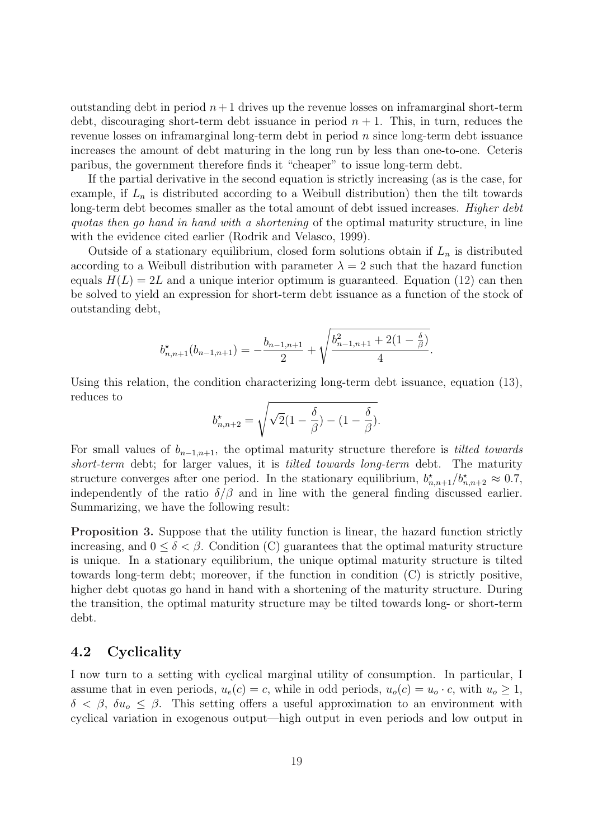outstanding debt in period  $n+1$  drives up the revenue losses on inframarginal short-term debt, discouraging short-term debt issuance in period  $n + 1$ . This, in turn, reduces the revenue losses on inframarginal long-term debt in period n since long-term debt issuance increases the amount of debt maturing in the long run by less than one-to-one. Ceteris paribus, the government therefore finds it "cheaper" to issue long-term debt.

If the partial derivative in the second equation is strictly increasing (as is the case, for example, if  $L_n$  is distributed according to a Weibull distribution) then the tilt towards long-term debt becomes smaller as the total amount of debt issued increases. Higher debt quotas then go hand in hand with a shortening of the optimal maturity structure, in line with the evidence cited earlier (Rodrik and Velasco, 1999).

Outside of a stationary equilibrium, closed form solutions obtain if  $L_n$  is distributed according to a Weibull distribution with parameter  $\lambda = 2$  such that the hazard function equals  $H(L) = 2L$  and a unique interior optimum is guaranteed. Equation (12) can then be solved to yield an expression for short-term debt issuance as a function of the stock of outstanding debt,

$$
b_{n,n+1}^{\star}(b_{n-1,n+1}) = -\frac{b_{n-1,n+1}}{2} + \sqrt{\frac{b_{n-1,n+1}^{2} + 2(1 - \frac{\delta}{\beta})}{4}}.
$$

Using this relation, the condition characterizing long-term debt issuance, equation (13), reduces to s

$$
b_{n,n+2}^* = \sqrt{\sqrt{2}(1-\frac{\delta}{\beta}) - (1-\frac{\delta}{\beta})}.
$$

For small values of  $b_{n-1,n+1}$ , the optimal maturity structure therefore is *tilted towards* short-term debt; for larger values, it is *tilted towards long-term* debt. The maturity structure converges after one period. In the stationary equilibrium,  $b_{n,n+1}^{\star}/b_{n,n+2}^{\star} \approx 0.7$ , independently of the ratio  $\delta/\beta$  and in line with the general finding discussed earlier. Summarizing, we have the following result:

Proposition 3. Suppose that the utility function is linear, the hazard function strictly increasing, and  $0 \le \delta < \beta$ . Condition (C) guarantees that the optimal maturity structure is unique. In a stationary equilibrium, the unique optimal maturity structure is tilted towards long-term debt; moreover, if the function in condition (C) is strictly positive, higher debt quotas go hand in hand with a shortening of the maturity structure. During the transition, the optimal maturity structure may be tilted towards long- or short-term debt.

### 4.2 Cyclicality

I now turn to a setting with cyclical marginal utility of consumption. In particular, I assume that in even periods,  $u_e(c) = c$ , while in odd periods,  $u_o(c) = u_o \cdot c$ , with  $u_o \ge 1$ ,  $\delta < \beta$ ,  $\delta u_o < \beta$ . This setting offers a useful approximation to an environment with cyclical variation in exogenous output—high output in even periods and low output in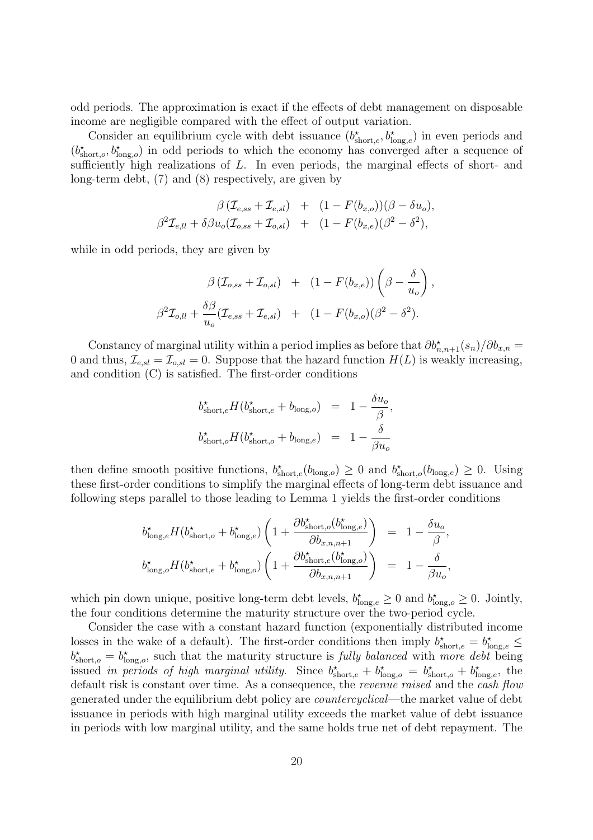odd periods. The approximation is exact if the effects of debt management on disposable income are negligible compared with the effect of output variation.

Consider an equilibrium cycle with debt issuance  $(b_{\text{short},e}^*, b_{\text{long},e}^*)$  in even periods and  $(b^{\star}_{short,o}, b^{\star}_{long,o})$  in odd periods to which the economy has converged after a sequence of sufficiently high realizations of L. In even periods, the marginal effects of short- and long-term debt, (7) and (8) respectively, are given by

$$
\beta (\mathcal{I}_{e,ss} + \mathcal{I}_{e,sl}) + (1 - F(b_{x,o}))(\beta - \delta u_o),
$$
  

$$
\beta^2 \mathcal{I}_{e,ll} + \delta \beta u_o (\mathcal{I}_{o,ss} + \mathcal{I}_{o,sl}) + (1 - F(b_{x,e})(\beta^2 - \delta^2),
$$

while in odd periods, they are given by

$$
\beta \left( \mathcal{I}_{o,ss} + \mathcal{I}_{o,sl} \right) + \left( 1 - F(b_{x,e}) \right) \left( \beta - \frac{\delta}{u_o} \right),
$$
  

$$
\beta^2 \mathcal{I}_{o,ll} + \frac{\delta \beta}{u_o} (\mathcal{I}_{e,ss} + \mathcal{I}_{e,sl}) + \left( 1 - F(b_{x,o}) (\beta^2 - \delta^2) \right).
$$

Constancy of marginal utility within a period implies as before that  $\partial b_{n,n+1}^{\star}(s_n)/\partial b_{n,n} =$ 0 and thus,  $\mathcal{I}_{e,sl} = \mathcal{I}_{o,sl} = 0$ . Suppose that the hazard function  $H(L)$  is weakly increasing, and condition (C) is satisfied. The first-order conditions

$$
\begin{array}{rcl} b^\star_{\rm short, e} H(b^\star_{\rm short, e} + b_{\rm long, o}) & = & 1 - \frac{\delta u_o}{\beta}, \\[2ex] b^\star_{\rm short, o} H(b^\star_{\rm short, o} + b_{\rm long, e}) & = & 1 - \frac{\delta}{\beta u_o} \end{array}
$$

then define smooth positive functions,  $b_{\text{short},e}^{\star}(b_{\text{long},o}) \geq 0$  and  $b_{\text{short},o}^{\star}(b_{\text{long},e}) \geq 0$ . Using these first-order conditions to simplify the marginal effects of long-term debt issuance and following steps parallel to those leading to Lemma 1 yields the first-order conditions

$$
b_{\text{long},e}^{\star} H(b_{\text{short},o}^{\star} + b_{\text{long},e}^{\star}) \left( 1 + \frac{\partial b_{\text{short},o}^{\star}(b_{\text{long},e}^{\star})}{\partial b_{x,n,n+1}} \right) = 1 - \frac{\delta u_{o}}{\beta},
$$
  

$$
b_{\text{long},o}^{\star} H(b_{\text{short},e}^{\star} + b_{\text{long},o}^{\star}) \left( 1 + \frac{\partial b_{\text{short},e}^{\star}(b_{\text{long},o}^{\star})}{\partial b_{x,n,n+1}} \right) = 1 - \frac{\delta}{\beta u_{o}},
$$

which pin down unique, positive long-term debt levels,  $b_{\text{long},e}^* \geq 0$  and  $b_{\text{long},o}^* \geq 0$ . Jointly, the four conditions determine the maturity structure over the two-period cycle.

Consider the case with a constant hazard function (exponentially distributed income losses in the wake of a default). The first-order conditions then imply  $b^{\star}_{short,e} = b^{\star}_{long,e} \leq$  $b^{\star}_{\text{short},o} = b^{\star}_{\text{long},o}$ , such that the maturity structure is fully balanced with more debt being issued in periods of high marginal utility. Since  $b_{\text{short},e}^{\star} + b_{\text{long},o}^{\star} = b_{\text{short},o}^{\star} + b_{\text{long},e}^{\star}$ , the default risk is constant over time. As a consequence, the *revenue raised* and the *cash flow* generated under the equilibrium debt policy are countercyclical—the market value of debt issuance in periods with high marginal utility exceeds the market value of debt issuance in periods with low marginal utility, and the same holds true net of debt repayment. The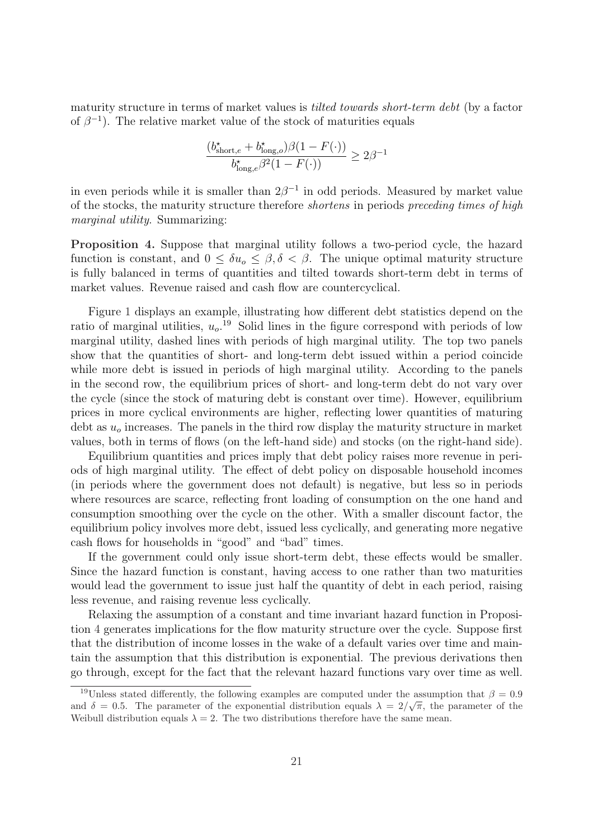maturity structure in terms of market values is tilted towards short-term debt (by a factor of  $\beta^{-1}$ ). The relative market value of the stock of maturities equals

$$
\frac{(b^{\star}_{\mathrm{short},e}+b^{\star}_{\mathrm{long},o})\beta(1-F(\cdot))}{b^{\star}_{\mathrm{long},e}\beta^2(1-F(\cdot))}\geq 2\beta^{-1}
$$

in even periods while it is smaller than  $2\beta^{-1}$  in odd periods. Measured by market value of the stocks, the maturity structure therefore shortens in periods preceding times of high marginal utility. Summarizing:

Proposition 4. Suppose that marginal utility follows a two-period cycle, the hazard function is constant, and  $0 \leq \delta u_{\alpha} \leq \beta, \delta \leq \beta$ . The unique optimal maturity structure is fully balanced in terms of quantities and tilted towards short-term debt in terms of market values. Revenue raised and cash flow are countercyclical.

Figure 1 displays an example, illustrating how different debt statistics depend on the ratio of marginal utilities,  $u_o$ <sup>19</sup> Solid lines in the figure correspond with periods of low marginal utility, dashed lines with periods of high marginal utility. The top two panels show that the quantities of short- and long-term debt issued within a period coincide while more debt is issued in periods of high marginal utility. According to the panels in the second row, the equilibrium prices of short- and long-term debt do not vary over the cycle (since the stock of maturing debt is constant over time). However, equilibrium prices in more cyclical environments are higher, reflecting lower quantities of maturing debt as  $u<sub>o</sub>$  increases. The panels in the third row display the maturity structure in market values, both in terms of flows (on the left-hand side) and stocks (on the right-hand side).

Equilibrium quantities and prices imply that debt policy raises more revenue in periods of high marginal utility. The effect of debt policy on disposable household incomes (in periods where the government does not default) is negative, but less so in periods where resources are scarce, reflecting front loading of consumption on the one hand and consumption smoothing over the cycle on the other. With a smaller discount factor, the equilibrium policy involves more debt, issued less cyclically, and generating more negative cash flows for households in "good" and "bad" times.

If the government could only issue short-term debt, these effects would be smaller. Since the hazard function is constant, having access to one rather than two maturities would lead the government to issue just half the quantity of debt in each period, raising less revenue, and raising revenue less cyclically.

Relaxing the assumption of a constant and time invariant hazard function in Proposition 4 generates implications for the flow maturity structure over the cycle. Suppose first that the distribution of income losses in the wake of a default varies over time and maintain the assumption that this distribution is exponential. The previous derivations then go through, except for the fact that the relevant hazard functions vary over time as well.

<sup>&</sup>lt;sup>19</sup>Unless stated differently, the following examples are computed under the assumption that  $\beta = 0.9$ of the parameter of the exponential distribution equals  $\lambda = 2/\sqrt{\pi}$ , the parameter of the exponential distribution equals  $\lambda = 2/\sqrt{\pi}$ , the parameter of the Weibull distribution equals  $\lambda = 2$ . The two distributions therefore have the same mean.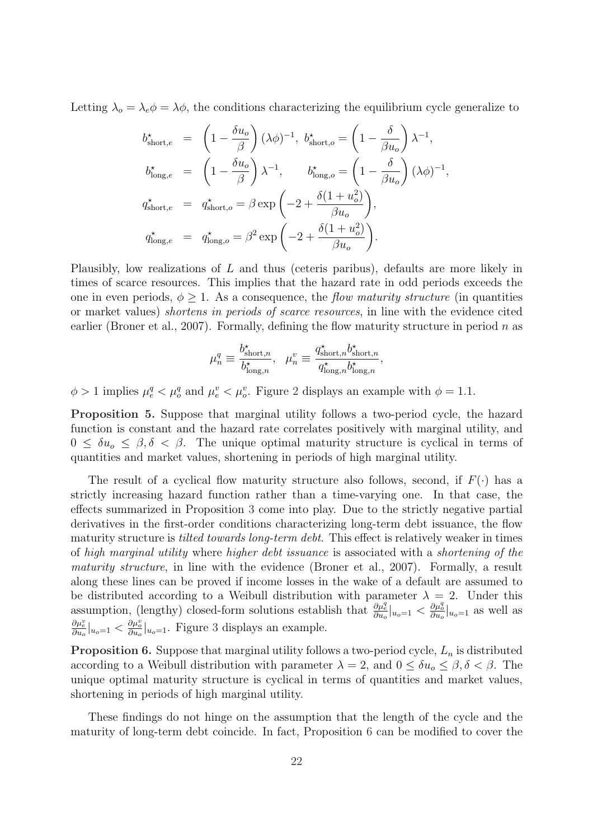Letting  $\lambda_o = \lambda_e \phi = \lambda \phi$ , the conditions characterizing the equilibrium cycle generalize to

$$
\begin{array}{rcl} b_{\rm short,e}^{\star} & = & \left(1-\frac{\delta u_o}{\beta}\right)(\lambda\phi)^{-1}, \,\, b_{\rm short,o}^{\star} = \left(1-\frac{\delta}{\beta u_o}\right)\lambda^{-1}, \\[5pt] b_{\rm long,e}^{\star} & = & \left(1-\frac{\delta u_o}{\beta}\right)\lambda^{-1}, \qquad b_{\rm long,o}^{\star} = \left(1-\frac{\delta}{\beta u_o}\right)(\lambda\phi)^{-1}, \\[5pt] q_{\rm short,e}^{\star} & = & q_{\rm short,o}^{\star} = \beta\exp\left(-2+\frac{\delta(1+u_o^2)}{\beta u_o}\right), \\[5pt] q_{\rm long,e}^{\star} & = & q_{\rm long,o}^{\star} = \beta^2\exp\left(-2+\frac{\delta(1+u_o^2)}{\beta u_o}\right). \end{array}
$$

Plausibly, low realizations of L and thus (ceteris paribus), defaults are more likely in times of scarce resources. This implies that the hazard rate in odd periods exceeds the one in even periods,  $\phi \geq 1$ . As a consequence, the *flow maturity structure* (in quantities or market values) shortens in periods of scarce resources, in line with the evidence cited earlier (Broner et al., 2007). Formally, defining the flow maturity structure in period  $n$  as

$$
\mu_n^q \equiv \frac{b^{\star}_{\mathrm{short},n}}{b^{\star}_{\mathrm{long},n}}, \ \ \mu_n^v \equiv \frac{q^{\star}_{\mathrm{short},n}b^{\star}_{\mathrm{short},n}}{q^{\star}_{\mathrm{long},n}b^{\star}_{\mathrm{long},n}},
$$

 $\phi > 1$  implies  $\mu_e^q < \mu_o^q$  and  $\mu_e^v < \mu_o^v$ . Figure 2 displays an example with  $\phi = 1.1$ .

Proposition 5. Suppose that marginal utility follows a two-period cycle, the hazard function is constant and the hazard rate correlates positively with marginal utility, and  $0 \leq \delta u_{\rho} \leq \beta, \delta \leq \beta$ . The unique optimal maturity structure is cyclical in terms of quantities and market values, shortening in periods of high marginal utility.

The result of a cyclical flow maturity structure also follows, second, if  $F(\cdot)$  has a strictly increasing hazard function rather than a time-varying one. In that case, the effects summarized in Proposition 3 come into play. Due to the strictly negative partial derivatives in the first-order conditions characterizing long-term debt issuance, the flow maturity structure is *tilted towards long-term debt*. This effect is relatively weaker in times of high marginal utility where higher debt issuance is associated with a shortening of the maturity structure, in line with the evidence (Broner et al., 2007). Formally, a result along these lines can be proved if income losses in the wake of a default are assumed to be distributed according to a Weibull distribution with parameter  $\lambda = 2$ . Under this assumption, (lengthy) closed-form solutions establish that  $\frac{\partial \mu_e^g}{\partial u_o}\Big|_{u_o=1} < \frac{\partial \mu_o^g}{\partial u_o}\Big|_{u_o=1}$  as well as  $\frac{\partial \mu_e^v}{\partial u_o}|_{u_o=1}$  <  $\frac{\partial \mu_o^v}{\partial u_o}|_{u_o=1}$ . Figure 3 displays an example.

**Proposition 6.** Suppose that marginal utility follows a two-period cycle,  $L_n$  is distributed according to a Weibull distribution with parameter  $\lambda = 2$ , and  $0 \le \delta u_0 \le \beta, \delta < \beta$ . The unique optimal maturity structure is cyclical in terms of quantities and market values, shortening in periods of high marginal utility.

These findings do not hinge on the assumption that the length of the cycle and the maturity of long-term debt coincide. In fact, Proposition 6 can be modified to cover the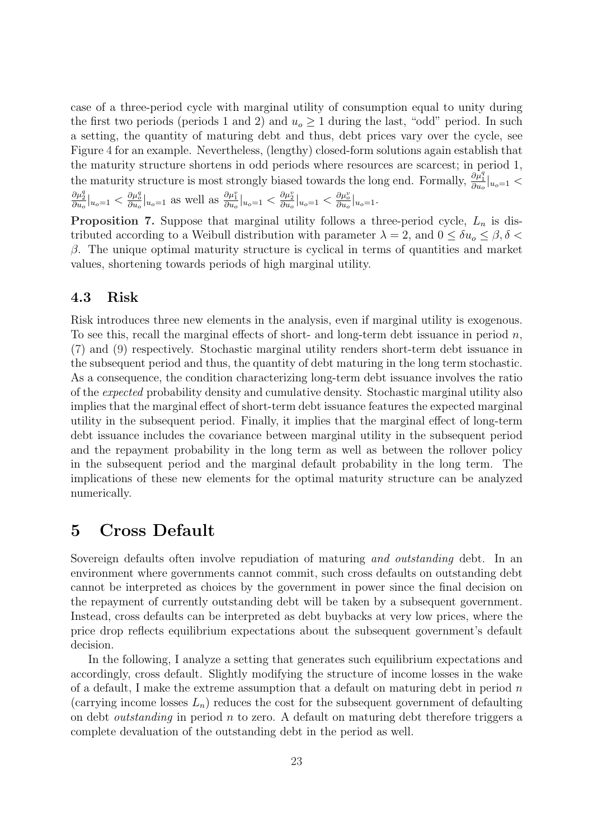case of a three-period cycle with marginal utility of consumption equal to unity during the first two periods (periods 1 and 2) and  $u_0 \ge 1$  during the last, "odd" period. In such a setting, the quantity of maturing debt and thus, debt prices vary over the cycle, see Figure 4 for an example. Nevertheless, (lengthy) closed-form solutions again establish that the maturity structure shortens in odd periods where resources are scarcest; in period 1, the maturity structure is most strongly biased towards the long end. Formally,  $\frac{\partial \mu_1^q}{\partial u_0}\Big|_{u_0=1}$  <  $\frac{\partial \mu_2^q}{\partial u_o}|_{u_o=1} \leq \frac{\partial \mu_0^q}{\partial u_o}|_{u_o=1}$  as well as  $\frac{\partial \mu_1^v}{\partial u_o}|_{u_o=1} < \frac{\partial \mu_2^v}{\partial u_o}|_{u_o=1} < \frac{\partial \mu_2^v}{\partial u_o}|_{u_o=1}$ .

**Proposition 7.** Suppose that marginal utility follows a three-period cycle,  $L_n$  is distributed according to a Weibull distribution with parameter  $\lambda = 2$ , and  $0 \le \delta u_0 \le \beta, \delta <$ β. The unique optimal maturity structure is cyclical in terms of quantities and market values, shortening towards periods of high marginal utility.

### 4.3 Risk

Risk introduces three new elements in the analysis, even if marginal utility is exogenous. To see this, recall the marginal effects of short- and long-term debt issuance in period  $n$ , (7) and (9) respectively. Stochastic marginal utility renders short-term debt issuance in the subsequent period and thus, the quantity of debt maturing in the long term stochastic. As a consequence, the condition characterizing long-term debt issuance involves the ratio of the expected probability density and cumulative density. Stochastic marginal utility also implies that the marginal effect of short-term debt issuance features the expected marginal utility in the subsequent period. Finally, it implies that the marginal effect of long-term debt issuance includes the covariance between marginal utility in the subsequent period and the repayment probability in the long term as well as between the rollover policy in the subsequent period and the marginal default probability in the long term. The implications of these new elements for the optimal maturity structure can be analyzed numerically.

### 5 Cross Default

Sovereign defaults often involve repudiation of maturing and outstanding debt. In an environment where governments cannot commit, such cross defaults on outstanding debt cannot be interpreted as choices by the government in power since the final decision on the repayment of currently outstanding debt will be taken by a subsequent government. Instead, cross defaults can be interpreted as debt buybacks at very low prices, where the price drop reflects equilibrium expectations about the subsequent government's default decision.

In the following, I analyze a setting that generates such equilibrium expectations and accordingly, cross default. Slightly modifying the structure of income losses in the wake of a default, I make the extreme assumption that a default on maturing debt in period  $n$ (carrying income losses  $L_n$ ) reduces the cost for the subsequent government of defaulting on debt *outstanding* in period  $n$  to zero. A default on maturing debt therefore triggers a complete devaluation of the outstanding debt in the period as well.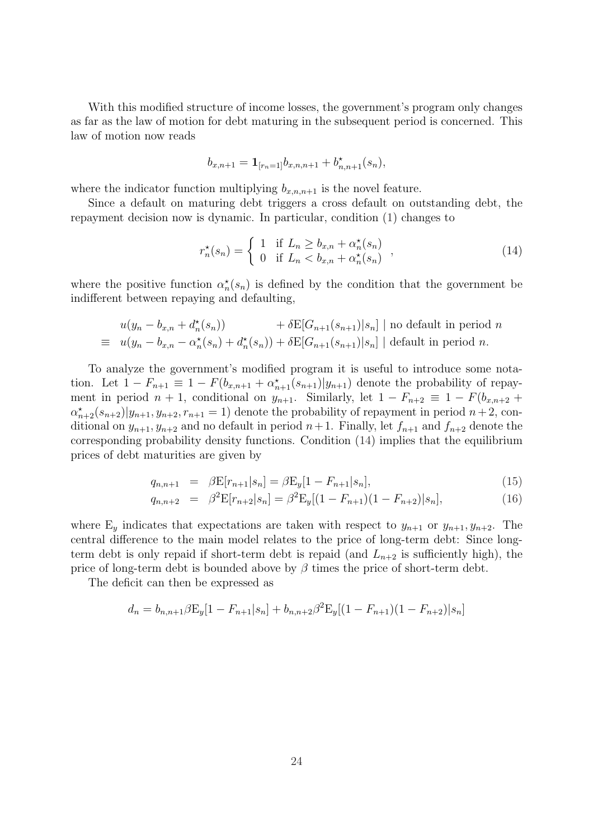With this modified structure of income losses, the government's program only changes as far as the law of motion for debt maturing in the subsequent period is concerned. This law of motion now reads

$$
b_{x,n+1} = \mathbf{1}_{[r_n=1]} b_{x,n,n+1} + b_{n,n+1}^{\star}(s_n),
$$

where the indicator function multiplying  $b_{x,n,n+1}$  is the novel feature.

Since a default on maturing debt triggers a cross default on outstanding debt, the repayment decision now is dynamic. In particular, condition (1) changes to

$$
r_n^{\star}(s_n) = \begin{cases} 1 & \text{if } L_n \ge b_{x,n} + \alpha_n^{\star}(s_n) \\ 0 & \text{if } L_n < b_{x,n} + \alpha_n^{\star}(s_n) \end{cases} \tag{14}
$$

where the positive function  $\alpha_n^*(s_n)$  is defined by the condition that the government be indifferent between repaying and defaulting,

$$
u(y_n - b_{x,n} + d_n^{\star}(s_n)) + \delta \mathbb{E}[G_{n+1}(s_{n+1})|s_n] \mid \text{no default in period } n
$$
  
\n
$$
\equiv u(y_n - b_{x,n} - \alpha_n^{\star}(s_n) + d_n^{\star}(s_n)) + \delta \mathbb{E}[G_{n+1}(s_{n+1})|s_n] \mid \text{default in period } n.
$$

To analyze the government's modified program it is useful to introduce some notation. Let  $1 - F_{n+1} \equiv 1 - F(b_{x,n+1} + \alpha_{n+1}^{\star}(s_{n+1}) | y_{n+1})$  denote the probability of repayment in period  $n + 1$ , conditional on  $y_{n+1}$ . Similarly, let  $1 - F_{n+2} \equiv 1 - F(b_{x,n+2} + b_{x,n+1})$  $\alpha_{n+2}^*(s_{n+2})|y_{n+1}, y_{n+2}, r_{n+1} = 1$  denote the probability of repayment in period  $n+2$ , conditional on  $y_{n+1}, y_{n+2}$  and no default in period  $n+1$ . Finally, let  $f_{n+1}$  and  $f_{n+2}$  denote the corresponding probability density functions. Condition (14) implies that the equilibrium prices of debt maturities are given by

$$
q_{n,n+1} = \beta \mathbf{E}[r_{n+1}|s_n] = \beta \mathbf{E}_y[1 - F_{n+1}|s_n], \tag{15}
$$

$$
q_{n,n+2} = \beta^2 \mathcal{E}[r_{n+2}|s_n] = \beta^2 \mathcal{E}_y[(1 - F_{n+1})(1 - F_{n+2})|s_n], \tag{16}
$$

where  $E_y$  indicates that expectations are taken with respect to  $y_{n+1}$  or  $y_{n+1}, y_{n+2}$ . The central difference to the main model relates to the price of long-term debt: Since longterm debt is only repaid if short-term debt is repaid (and  $L_{n+2}$  is sufficiently high), the price of long-term debt is bounded above by  $\beta$  times the price of short-term debt.

The deficit can then be expressed as

$$
d_n = b_{n,n+1} \beta \mathbf{E}_y[1 - F_{n+1}|s_n] + b_{n,n+2} \beta^2 \mathbf{E}_y[(1 - F_{n+1})(1 - F_{n+2})|s_n]
$$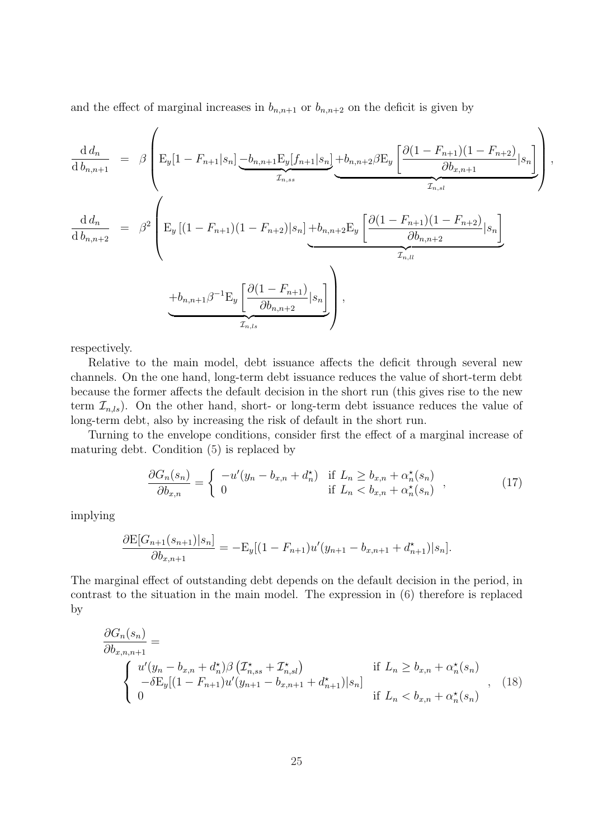and the effect of marginal increases in  $b_{n,n+1}$  or  $b_{n,n+2}$  on the deficit is given by

$$
\frac{d d_n}{d b_{n,n+1}} = \beta \left( E_y[1 - F_{n+1}|s_n] \underbrace{-b_{n,n+1} E_y[f_{n+1}|s_n]}_{\mathcal{I}_{n,ss}} + b_{n,n+2} \beta E_y \underbrace{\left[ \frac{\partial (1 - F_{n+1})(1 - F_{n+2})}{\partial b_{x,n+1}} | s_n \right]}_{\mathcal{I}_{n,st}} \right)
$$
\n
$$
\frac{d d_n}{d b_{n,n+2}} = \beta^2 \left( E_y \left[ (1 - F_{n+1})(1 - F_{n+2}) | s_n \right] + b_{n,n+2} E_y \underbrace{\left[ \frac{\partial (1 - F_{n+1})(1 - F_{n+2})}{\partial b_{n,n+2}} | s_n \right]}_{\mathcal{I}_{n,l}} \right)
$$
\n
$$
+ b_{n,n+1} \beta^{-1} E_y \underbrace{\left[ \frac{\partial (1 - F_{n+1})}{\partial b_{n,n+2}} | s_n \right]}_{\mathcal{I}_{n,ss}} \right),
$$

,

respectively.

Relative to the main model, debt issuance affects the deficit through several new channels. On the one hand, long-term debt issuance reduces the value of short-term debt because the former affects the default decision in the short run (this gives rise to the new term  $\mathcal{I}_{n,ls}$ ). On the other hand, short- or long-term debt issuance reduces the value of long-term debt, also by increasing the risk of default in the short run.

Turning to the envelope conditions, consider first the effect of a marginal increase of maturing debt. Condition (5) is replaced by

$$
\frac{\partial G_n(s_n)}{\partial b_{x,n}} = \begin{cases}\n-u'(y_n - b_{x,n} + d_n^{\star}) & \text{if } L_n \ge b_{x,n} + \alpha_n^{\star}(s_n) \\
0 & \text{if } L_n < b_{x,n} + \alpha_n^{\star}(s_n)\n\end{cases} (17)
$$

implying

$$
\frac{\partial \mathcal{E}[G_{n+1}(s_{n+1})|s_n]}{\partial b_{x,n+1}} = -\mathcal{E}_y[(1 - F_{n+1})u'(y_{n+1} - b_{x,n+1} + d_{n+1}^{\star})|s_n].
$$

The marginal effect of outstanding debt depends on the default decision in the period, in contrast to the situation in the main model. The expression in (6) therefore is replaced by

$$
\frac{\partial G_n(s_n)}{\partial b_{x,n,n+1}} = \n\begin{cases}\nu'(y_n - b_{x,n} + d_n^*) \beta \left( \mathcal{I}_{n,ss}^{\star} + \mathcal{I}_{n,sl}^{\star} \right) & \text{if } L_n \ge b_{x,n} + \alpha_n^*(s_n) \\
-\delta E_y [(1 - F_{n+1}) u'(y_{n+1} - b_{x,n+1} + d_{n+1}^*)] s_n] & \text{if } L_n < b_{x,n} + \alpha_n^*(s_n)\n\end{cases} \tag{18}
$$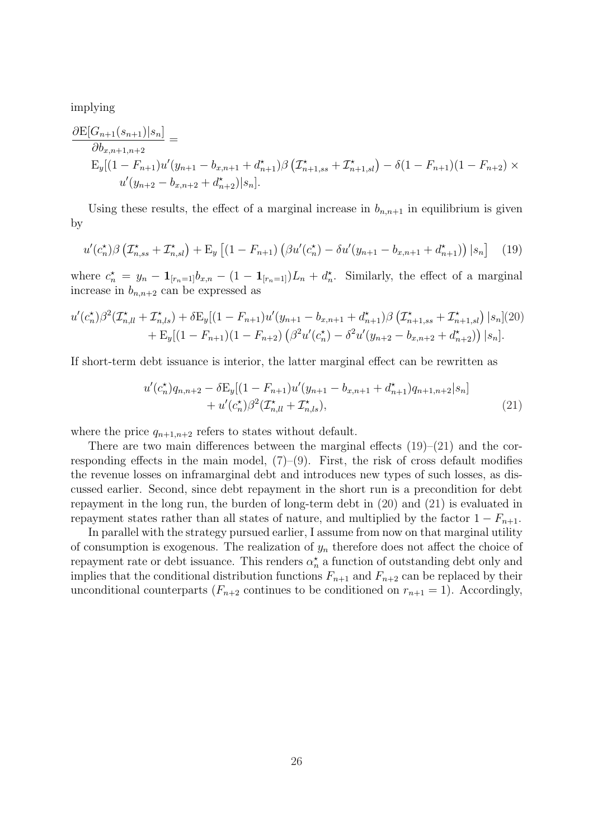implying

$$
\frac{\partial \mathcal{E}[G_{n+1}(s_{n+1})|s_n]}{\partial b_{x,n+1,n+2}} =
$$
\n
$$
\mathcal{E}_y[(1 - F_{n+1})u'(y_{n+1} - b_{x,n+1} + d_{n+1}^*)\beta \left(\mathcal{I}_{n+1,ss}^{\star} + \mathcal{I}_{n+1,sl}^{\star}\right) - \delta(1 - F_{n+1})(1 - F_{n+2}) \times
$$
\n
$$
u'(y_{n+2} - b_{x,n+2} + d_{n+2}^{\star})|s_n].
$$

Using these results, the effect of a marginal increase in  $b_{n,n+1}$  in equilibrium is given by

$$
u'(c_n^*)\beta \left(\mathcal{I}_{n,ss}^* + \mathcal{I}_{n,sl}^*\right) + \mathcal{E}_y \left[ (1 - F_{n+1}) \left( \beta u'(c_n^*) - \delta u'(y_{n+1} - b_{x,n+1} + d_{n+1}^*) \right) | s_n \right] \tag{19}
$$

where  $c_n^* = y_n - \mathbf{1}_{[r_n=1]}b_{x,n} - (1 - \mathbf{1}_{[r_n=1]})L_n + d_n^*$ . Similarly, the effect of a marginal increase in  $b_{n,n+2}$  can be expressed as

$$
u'(c_n^*)\beta^2(\mathcal{I}_{nll}^* + \mathcal{I}_{n,ls}^*) + \delta E_y[(1 - F_{n+1})u'(y_{n+1} - b_{x,n+1} + d_{n+1}^*)\beta(\mathcal{I}_{n+1,ss}^* + \mathcal{I}_{n+1,sl}^*) |s_n](20) + E_y[(1 - F_{n+1})(1 - F_{n+2}) (\beta^2 u'(c_n^*) - \delta^2 u'(y_{n+2} - b_{x,n+2} + d_{n+2}^*)) |s_n].
$$

If short-term debt issuance is interior, the latter marginal effect can be rewritten as

$$
u'(c_n^{\star})q_{n,n+2} - \delta E_y[(1 - F_{n+1})u'(y_{n+1} - b_{x,n+1} + d_{n+1}^{\star})q_{n+1,n+2}|s_n] + u'(c_n^{\star})\beta^2(\mathcal{I}_{n,l}^{\star} + \mathcal{I}_{n,l}^{\star}),
$$
\n(21)

where the price  $q_{n+1,n+2}$  refers to states without default.

There are two main differences between the marginal effects  $(19)$ – $(21)$  and the corresponding effects in the main model,  $(7)-(9)$ . First, the risk of cross default modifies the revenue losses on inframarginal debt and introduces new types of such losses, as discussed earlier. Second, since debt repayment in the short run is a precondition for debt repayment in the long run, the burden of long-term debt in (20) and (21) is evaluated in repayment states rather than all states of nature, and multiplied by the factor  $1 - F_{n+1}$ .

In parallel with the strategy pursued earlier, I assume from now on that marginal utility of consumption is exogenous. The realization of  $y_n$  therefore does not affect the choice of repayment rate or debt issuance. This renders  $\alpha_n^{\star}$  a function of outstanding debt only and implies that the conditional distribution functions  $F_{n+1}$  and  $F_{n+2}$  can be replaced by their unconditional counterparts  $(F_{n+2}$  continues to be conditioned on  $r_{n+1} = 1$ ). Accordingly,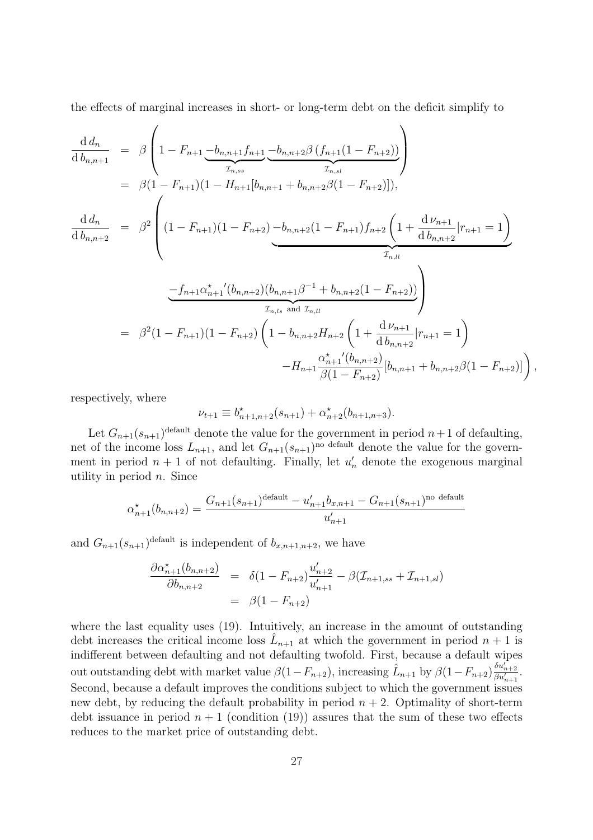the effects of marginal increases in short- or long-term debt on the deficit simplify to

$$
\frac{d d_n}{d b_{n,n+1}} = \beta \left( 1 - F_{n+1} \underbrace{-b_{n,n+1} f_{n+1}}_{T_{n,ss}} \underbrace{-b_{n,n+2} \beta (f_{n+1} (1 - F_{n+2}))}_{T_{n,sl}} \right)
$$
\n
$$
= \beta (1 - F_{n+1}) (1 - H_{n+1} [b_{n,n+1} + b_{n,n+2} \beta (1 - F_{n+2})]),
$$
\n
$$
\frac{d d_n}{d b_{n,n+2}} = \beta^2 \left( (1 - F_{n+1}) (1 - F_{n+2}) \underbrace{-b_{n,n+2} (1 - F_{n+1}) f_{n+2} \left( 1 + \frac{d \nu_{n+1}}{d b_{n,n+2}} | r_{n+1} = 1 \right)}_{T_{n,l}} \right)
$$
\n
$$
= \beta^2 (1 - F_{n+1}) (1 - F_{n+2}) \left( 1 - b_{n,n+2} H_{n+2} \left( 1 + \frac{d \nu_{n+1}}{d b_{n,n+2}} | r_{n+1} = 1 \right) - H_{n+1} \frac{\alpha_{n+1}^{\star} (b_{n,n+2})}{\beta (1 - F_{n+2})} [b_{n,n+1} + b_{n,n+2} \beta (1 - F_{n+2})] \right),
$$

respectively, where

$$
\nu_{t+1} \equiv b_{n+1,n+2}^{\star}(s_{n+1}) + \alpha_{n+2}^{\star}(b_{n+1,n+3}).
$$

Let  $G_{n+1}(s_{n+1})^{\text{default}}$  denote the value for the government in period  $n+1$  of defaulting, net of the income loss  $L_{n+1}$ , and let  $G_{n+1}(s_{n+1})^{\text{no default}}$  denote the value for the government in period  $n+1$  of not defaulting. Finally, let  $u'_n$  denote the exogenous marginal utility in period  $n$ . Since

$$
\alpha_{n+1}^{\star}(b_{n,n+2}) = \frac{G_{n+1}(s_{n+1})^{\text{default}} - u'_{n+1}b_{n,n+1} - G_{n+1}(s_{n+1})^{\text{no default}}}{u'_{n+1}}
$$

and  $G_{n+1}(s_{n+1})^{\text{default}}$  is independent of  $b_{x,n+1,n+2}$ , we have

$$
\frac{\partial \alpha_{n+1}^*(b_{n,n+2})}{\partial b_{n,n+2}} = \delta(1 - F_{n+2}) \frac{u'_{n+2}}{u'_{n+1}} - \beta(\mathcal{I}_{n+1,ss} + \mathcal{I}_{n+1,sl})
$$
  
=  $\beta(1 - F_{n+2})$ 

where the last equality uses (19). Intuitively, an increase in the amount of outstanding debt increases the critical income loss  $\hat{L}_{n+1}$  at which the government in period  $n+1$  is indifferent between defaulting and not defaulting twofold. First, because a default wipes out outstanding debt with market value  $\beta(1-F_{n+2})$ , increasing  $\hat{L}_{n+1}$  by  $\beta(1-F_{n+2})\frac{\delta u_{n+2}'}{\beta u_{n+1}'}$ . Second, because a default improves the conditions subject to which the government issues new debt, by reducing the default probability in period  $n + 2$ . Optimality of short-term debt issuance in period  $n+1$  (condition (19)) assures that the sum of these two effects reduces to the market price of outstanding debt.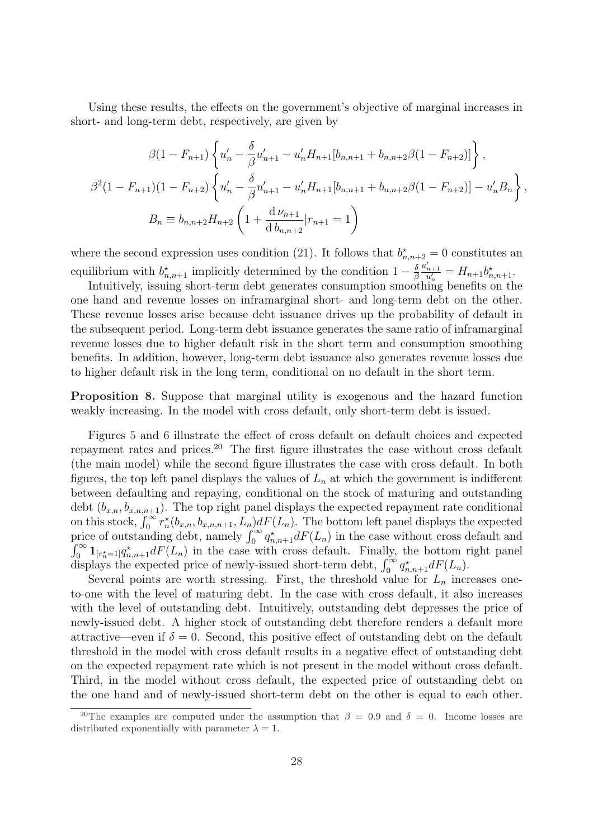Using these results, the effects on the government's objective of marginal increases in short- and long-term debt, respectively, are given by

$$
\beta(1 - F_{n+1}) \left\{ u'_n - \frac{\delta}{\beta} u'_{n+1} - u'_n H_{n+1} [b_{n,n+1} + b_{n,n+2} \beta (1 - F_{n+2})] \right\},
$$
  

$$
\beta^2 (1 - F_{n+1}) (1 - F_{n+2}) \left\{ u'_n - \frac{\delta}{\beta} u'_{n+1} - u'_n H_{n+1} [b_{n,n+1} + b_{n,n+2} \beta (1 - F_{n+2})] - u'_n B_n \right\},
$$
  

$$
B_n \equiv b_{n,n+2} H_{n+2} \left( 1 + \frac{d \nu_{n+1}}{d b_{n,n+2}} |r_{n+1} = 1 \right)
$$

where the second expression uses condition (21). It follows that  $b_{n,n+2}^* = 0$  constitutes an equilibrium with  $b_{n,n+1}^{\star}$  implicitly determined by the condition  $1-\frac{\delta}{\beta}$ β  $\frac{u'_{n+1}}{u'_n} = H_{n+1}b^{\star}_{n,n+1}.$ 

Intuitively, issuing short-term debt generates consumption smoothing benefits on the one hand and revenue losses on inframarginal short- and long-term debt on the other. These revenue losses arise because debt issuance drives up the probability of default in the subsequent period. Long-term debt issuance generates the same ratio of inframarginal revenue losses due to higher default risk in the short term and consumption smoothing benefits. In addition, however, long-term debt issuance also generates revenue losses due to higher default risk in the long term, conditional on no default in the short term.

Proposition 8. Suppose that marginal utility is exogenous and the hazard function weakly increasing. In the model with cross default, only short-term debt is issued.

Figures 5 and 6 illustrate the effect of cross default on default choices and expected repayment rates and prices.<sup>20</sup> The first figure illustrates the case without cross default (the main model) while the second figure illustrates the case with cross default. In both figures, the top left panel displays the values of  $L_n$  at which the government is indifferent between defaulting and repaying, conditional on the stock of maturing and outstanding debt  $(b_{x,n}, b_{x,n,n+1})$ . The top right panel displays the expected repayment rate conditional debt  $(b_{x,n}, b_{x,n,n+1})$ . The top right panel displays the expected repayment rate conditional<br>on this stock,  $\int_0^\infty r_n^{\star}(b_{x,n}, b_{x,n,n+1}, L_n) dF(L_n)$ . The bottom left panel displays the expected<br>price of outstanding debt, namely  $\int_0^\infty \mathbf{1}_{[r_n^*=1]} q_{n,n+1}^* dF(L_n)$  in the case with cross default. Finally, the bottom right panel  $J_0$   $\mathbf{1}_{[r_n^*=1]}$  $q_{n,n+1}$  are  $(L_n)$  in the case with cross default. Finally, the bottom redisplays the expected price of newly-issued short-term debt,  $\int_0^\infty q_{n,n+1}^* dF(L_n)$ .

Several points are worth stressing. First, the threshold value for  $L_n$  increases oneto-one with the level of maturing debt. In the case with cross default, it also increases with the level of outstanding debt. Intuitively, outstanding debt depresses the price of newly-issued debt. A higher stock of outstanding debt therefore renders a default more attractive—even if  $\delta = 0$ . Second, this positive effect of outstanding debt on the default threshold in the model with cross default results in a negative effect of outstanding debt on the expected repayment rate which is not present in the model without cross default. Third, in the model without cross default, the expected price of outstanding debt on the one hand and of newly-issued short-term debt on the other is equal to each other.

<sup>&</sup>lt;sup>20</sup>The examples are computed under the assumption that  $\beta = 0.9$  and  $\delta = 0$ . Income losses are distributed exponentially with parameter  $\lambda = 1$ .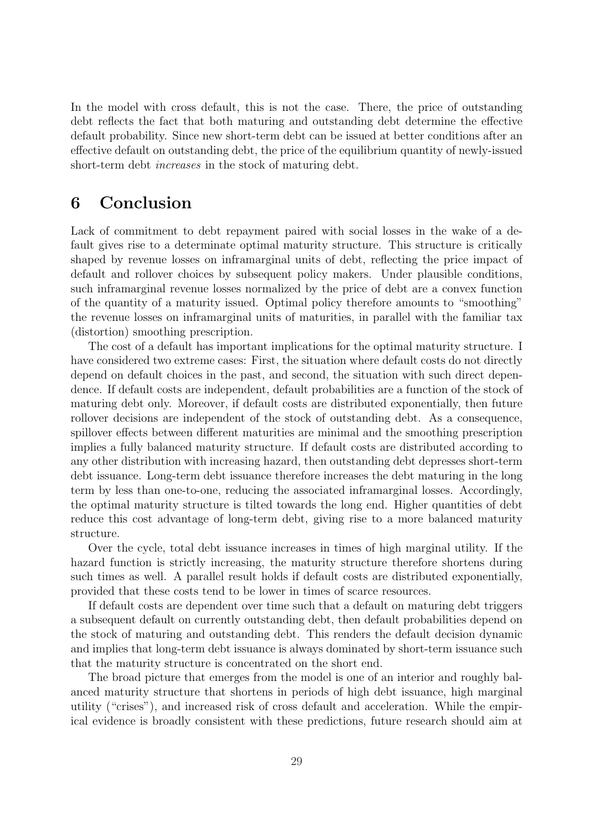In the model with cross default, this is not the case. There, the price of outstanding debt reflects the fact that both maturing and outstanding debt determine the effective default probability. Since new short-term debt can be issued at better conditions after an effective default on outstanding debt, the price of the equilibrium quantity of newly-issued short-term debt *increases* in the stock of maturing debt.

# 6 Conclusion

Lack of commitment to debt repayment paired with social losses in the wake of a default gives rise to a determinate optimal maturity structure. This structure is critically shaped by revenue losses on inframarginal units of debt, reflecting the price impact of default and rollover choices by subsequent policy makers. Under plausible conditions, such inframarginal revenue losses normalized by the price of debt are a convex function of the quantity of a maturity issued. Optimal policy therefore amounts to "smoothing" the revenue losses on inframarginal units of maturities, in parallel with the familiar tax (distortion) smoothing prescription.

The cost of a default has important implications for the optimal maturity structure. I have considered two extreme cases: First, the situation where default costs do not directly depend on default choices in the past, and second, the situation with such direct dependence. If default costs are independent, default probabilities are a function of the stock of maturing debt only. Moreover, if default costs are distributed exponentially, then future rollover decisions are independent of the stock of outstanding debt. As a consequence, spillover effects between different maturities are minimal and the smoothing prescription implies a fully balanced maturity structure. If default costs are distributed according to any other distribution with increasing hazard, then outstanding debt depresses short-term debt issuance. Long-term debt issuance therefore increases the debt maturing in the long term by less than one-to-one, reducing the associated inframarginal losses. Accordingly, the optimal maturity structure is tilted towards the long end. Higher quantities of debt reduce this cost advantage of long-term debt, giving rise to a more balanced maturity structure.

Over the cycle, total debt issuance increases in times of high marginal utility. If the hazard function is strictly increasing, the maturity structure therefore shortens during such times as well. A parallel result holds if default costs are distributed exponentially, provided that these costs tend to be lower in times of scarce resources.

If default costs are dependent over time such that a default on maturing debt triggers a subsequent default on currently outstanding debt, then default probabilities depend on the stock of maturing and outstanding debt. This renders the default decision dynamic and implies that long-term debt issuance is always dominated by short-term issuance such that the maturity structure is concentrated on the short end.

The broad picture that emerges from the model is one of an interior and roughly balanced maturity structure that shortens in periods of high debt issuance, high marginal utility ("crises"), and increased risk of cross default and acceleration. While the empirical evidence is broadly consistent with these predictions, future research should aim at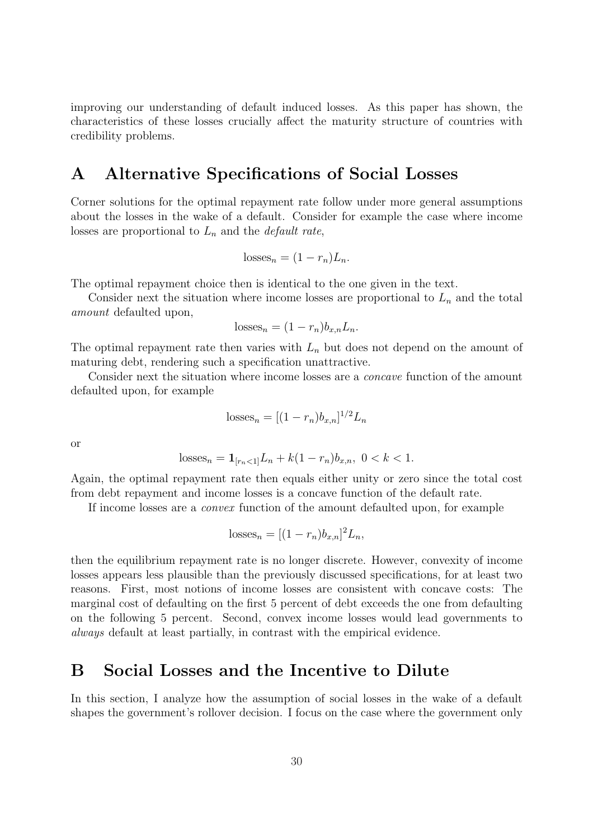improving our understanding of default induced losses. As this paper has shown, the characteristics of these losses crucially affect the maturity structure of countries with credibility problems.

# A Alternative Specifications of Social Losses

Corner solutions for the optimal repayment rate follow under more general assumptions about the losses in the wake of a default. Consider for example the case where income losses are proportional to  $L_n$  and the *default rate*,

$$
losses_n = (1 - r_n)L_n.
$$

The optimal repayment choice then is identical to the one given in the text.

Consider next the situation where income losses are proportional to  $L_n$  and the total amount defaulted upon,

$$
losses_n = (1 - r_n)b_{x,n}L_n.
$$

The optimal repayment rate then varies with  $L_n$  but does not depend on the amount of maturing debt, rendering such a specification unattractive.

Consider next the situation where income losses are a concave function of the amount defaulted upon, for example

losses<sub>n</sub> = 
$$
[(1 - r_n)b_{x,n}]^{1/2}L_n
$$

or

$$
losses_n = \mathbf{1}_{[r_n < 1]} L_n + k(1 - r_n)b_{x,n}, \ 0 < k < 1.
$$

Again, the optimal repayment rate then equals either unity or zero since the total cost from debt repayment and income losses is a concave function of the default rate.

If income losses are a convex function of the amount defaulted upon, for example

$$
losses_n = [(1 - r_n)b_{x,n}]^2 L_n,
$$

then the equilibrium repayment rate is no longer discrete. However, convexity of income losses appears less plausible than the previously discussed specifications, for at least two reasons. First, most notions of income losses are consistent with concave costs: The marginal cost of defaulting on the first 5 percent of debt exceeds the one from defaulting on the following 5 percent. Second, convex income losses would lead governments to always default at least partially, in contrast with the empirical evidence.

### B Social Losses and the Incentive to Dilute

In this section, I analyze how the assumption of social losses in the wake of a default shapes the government's rollover decision. I focus on the case where the government only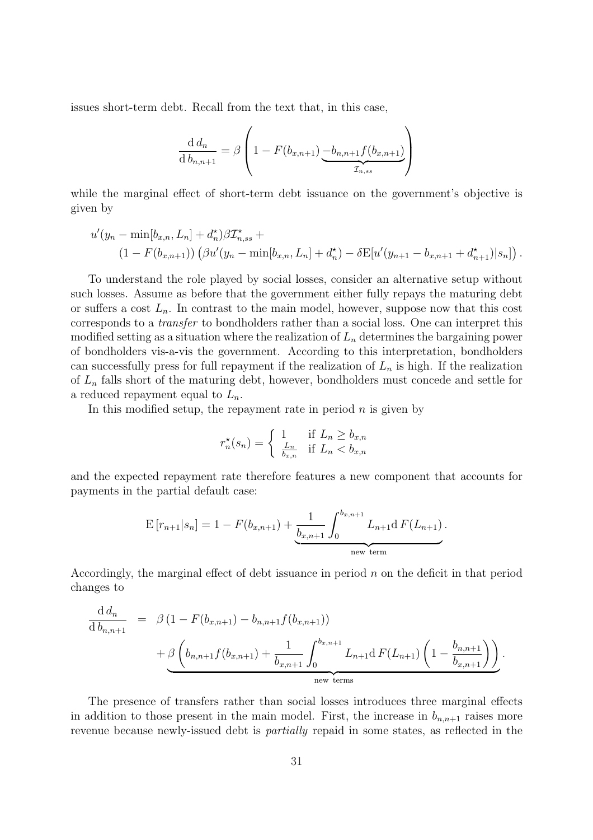issues short-term debt. Recall from the text that, in this case,

$$
\frac{d d_n}{d b_{n,n+1}} = \beta \left( 1 - F(b_{x,n+1}) \underbrace{-b_{n,n+1} f(b_{x,n+1})}_{\mathcal{I}_{n,ss}} \right)
$$

while the marginal effect of short-term debt issuance on the government's objective is given by

$$
u'(y_n - \min[b_{x,n}, L_n] + d_n^{\star})\beta \mathcal{I}_{n,ss}^{\star} +
$$
  

$$
(1 - F(b_{x,n+1})) \left(\beta u'(y_n - \min[b_{x,n}, L_n] + d_n^{\star}) - \delta E[u'(y_{n+1} - b_{x,n+1} + d_{n+1}^{\star})|s_n]\right).
$$

To understand the role played by social losses, consider an alternative setup without such losses. Assume as before that the government either fully repays the maturing debt or suffers a cost  $L_n$ . In contrast to the main model, however, suppose now that this cost corresponds to a transfer to bondholders rather than a social loss. One can interpret this modified setting as a situation where the realization of  $L_n$  determines the bargaining power of bondholders vis-a-vis the government. According to this interpretation, bondholders can successfully press for full repayment if the realization of  $L_n$  is high. If the realization of  $L_n$  falls short of the maturing debt, however, bondholders must concede and settle for a reduced repayment equal to  $L_n$ .

In this modified setup, the repayment rate in period  $n$  is given by

$$
r_n^*(s_n) = \begin{cases} 1 & \text{if } L_n \ge b_{x,n} \\ \frac{L_n}{b_{x,n}} & \text{if } L_n < b_{x,n} \end{cases}
$$

and the expected repayment rate therefore features a new component that accounts for payments in the partial default case:

$$
E[r_{n+1}|s_n] = 1 - F(b_{x,n+1}) + \underbrace{\frac{1}{b_{x,n+1}} \int_0^{b_{x,n+1}} L_{n+1} dF(L_{n+1})}_{\text{new term}}.
$$

Accordingly, the marginal effect of debt issuance in period  $n$  on the deficit in that period changes to

$$
\frac{d d_n}{d b_{n,n+1}} = \beta (1 - F(b_{x,n+1}) - b_{n,n+1} f(b_{x,n+1})) + \beta \left( b_{n,n+1} f(b_{x,n+1}) + \frac{1}{b_{x,n+1}} \int_0^{b_{x,n+1}} L_{n+1} d F(L_{n+1}) \left( 1 - \frac{b_{n,n+1}}{b_{x,n+1}} \right) \right).
$$
new terms

The presence of transfers rather than social losses introduces three marginal effects in addition to those present in the main model. First, the increase in  $b_{n,n+1}$  raises more revenue because newly-issued debt is partially repaid in some states, as reflected in the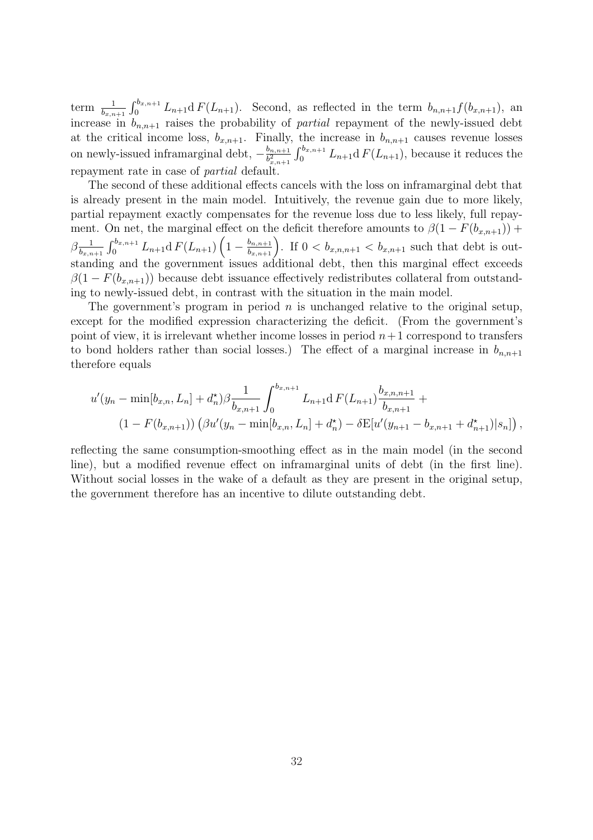term  $\frac{1}{b_{x,n+1}}$  $\int b_{x,n+1}$  $\int_0^{\delta_{x,n+1}} L_{n+1} dF(L_{n+1})$ . Second, as reflected in the term  $b_{n,n+1} f(b_{x,n+1})$ , an increase in  $b_{n,n+1}$  raises the probability of *partial* repayment of the newly-issued debt at the critical income loss,  $b_{x,n+1}$ . Finally, the increase in  $b_{n,n+1}$  causes revenue losses on newly-issued inframarginal debt,  $-\frac{b_{n,n+1}}{h^2}$  $\overline{b_{x,n+1}^2}$  $\lim_{t \to b}$  $\int_0^{\delta_{x,n+1}} L_{n+1} dF(L_{n+1}),$  because it reduces the repayment rate in case of partial default.

The second of these additional effects cancels with the loss on inframarginal debt that is already present in the main model. Intuitively, the revenue gain due to more likely, partial repayment exactly compensates for the revenue loss due to less likely, full repayment. On net, the marginal effect on the deficit therefore amounts to  $\beta(1 - F(b_{x,n+1}))$  +  $\beta_{\overline{k}}^{\,\,\,\,1}$  $b_{x,n+1}$  $\int b_{x,n+1}$  $\int_{0}^{\cdot b_{x,n+1}} L_{n+1} \mathrm{d}\, F(L_{n+1}) \left(1 - \frac{b_{n,n+1}}{b_{x,n+1}} \right)$ on the deficit therefore amounts to  $p(1 - F(0_{x,n+1})) + b_{n,n+1}$ <br> $b_{x,n+1}$ . If  $0 < b_{x,n,n+1} < b_{x,n+1}$  such that debt is outstanding and the government issues additional debt, then this marginal effect exceeds  $\beta(1 - F(b_{x,n+1}))$  because debt issuance effectively redistributes collateral from outstanding to newly-issued debt, in contrast with the situation in the main model.

The government's program in period  $n$  is unchanged relative to the original setup, except for the modified expression characterizing the deficit. (From the government's point of view, it is irrelevant whether income losses in period  $n+1$  correspond to transfers to bond holders rather than social losses.) The effect of a marginal increase in  $b_{n,n+1}$ therefore equals

$$
u'(y_n - \min[b_{x,n}, L_n] + d_n^{\star})\beta \frac{1}{b_{x,n+1}} \int_0^{b_{x,n+1}} L_{n+1} dF(L_{n+1}) \frac{b_{x,n,n+1}}{b_{x,n+1}} +
$$
  

$$
(1 - F(b_{x,n+1})) (\beta u'(y_n - \min[b_{x,n}, L_n] + d_n^{\star}) - \delta E[u'(y_{n+1} - b_{x,n+1} + d_{n+1}^{\star})|s_n]) ,
$$

reflecting the same consumption-smoothing effect as in the main model (in the second line), but a modified revenue effect on inframarginal units of debt (in the first line). Without social losses in the wake of a default as they are present in the original setup, the government therefore has an incentive to dilute outstanding debt.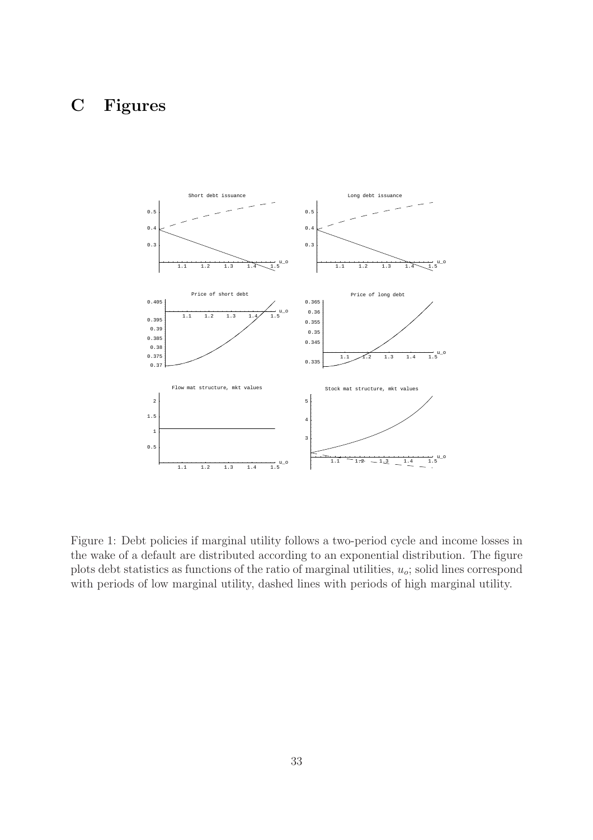# C Figures



Figure 1: Debt policies if marginal utility follows a two-period cycle and income losses in the wake of a default are distributed according to an exponential distribution. The figure plots debt statistics as functions of the ratio of marginal utilities,  $u_o$ ; solid lines correspond with periods of low marginal utility, dashed lines with periods of high marginal utility.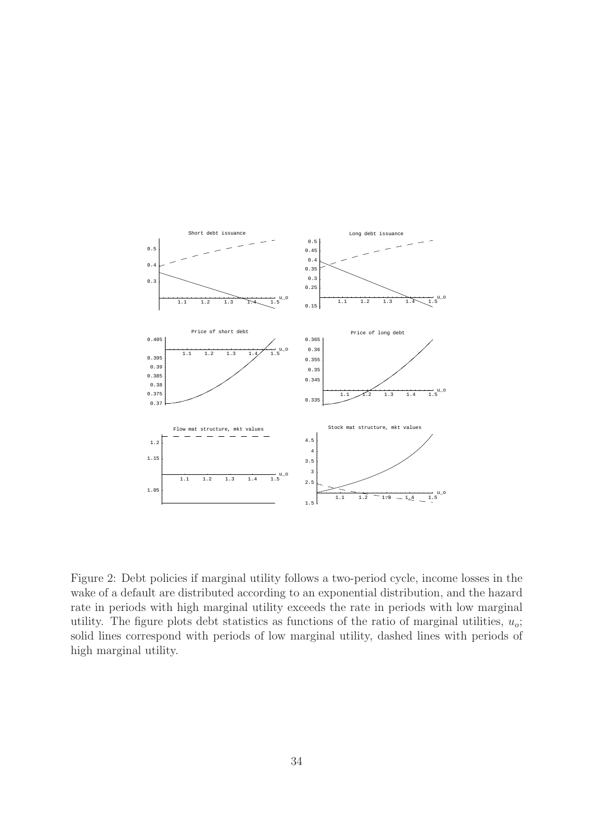

Figure 2: Debt policies if marginal utility follows a two-period cycle, income losses in the wake of a default are distributed according to an exponential distribution, and the hazard rate in periods with high marginal utility exceeds the rate in periods with low marginal utility. The figure plots debt statistics as functions of the ratio of marginal utilities,  $u_o$ ; solid lines correspond with periods of low marginal utility, dashed lines with periods of high marginal utility.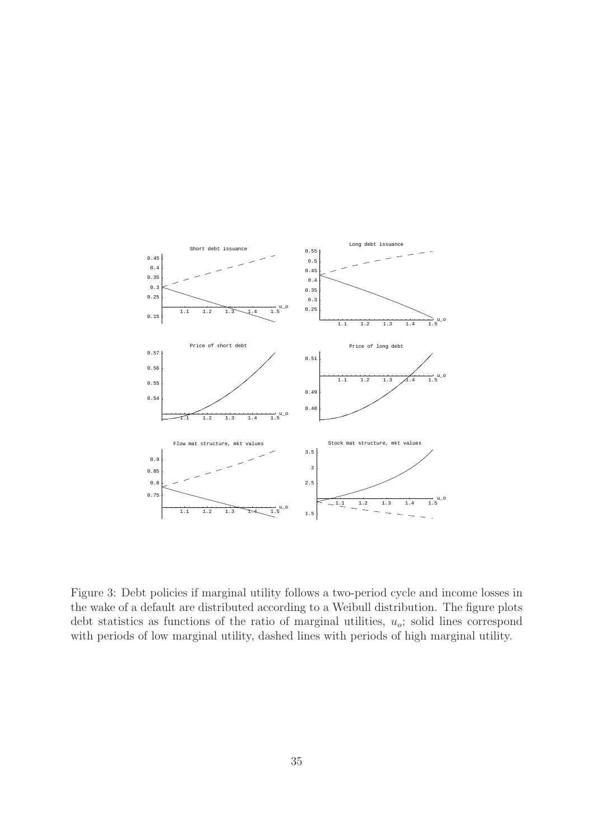

Figure 3: Debt policies if marginal utility follows a two-period cycle and income losses in the wake of a default are distributed according to a Weibull distribution. The figure plots debt statistics as functions of the ratio of marginal utilities,  $u_o$ ; solid lines correspond with periods of low marginal utility, dashed lines with periods of high marginal utility.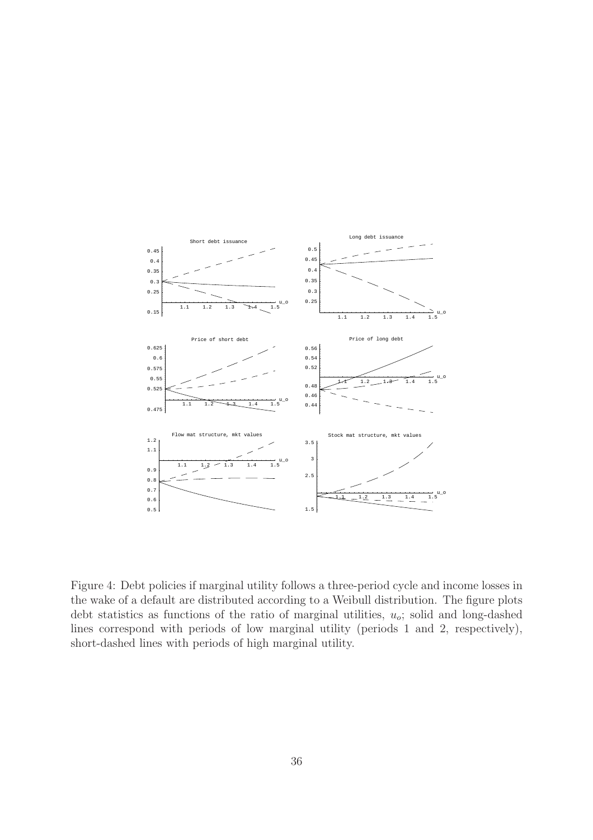

Figure 4: Debt policies if marginal utility follows a three-period cycle and income losses in the wake of a default are distributed according to a Weibull distribution. The figure plots debt statistics as functions of the ratio of marginal utilities,  $u_o$ ; solid and long-dashed lines correspond with periods of low marginal utility (periods 1 and 2, respectively), short-dashed lines with periods of high marginal utility.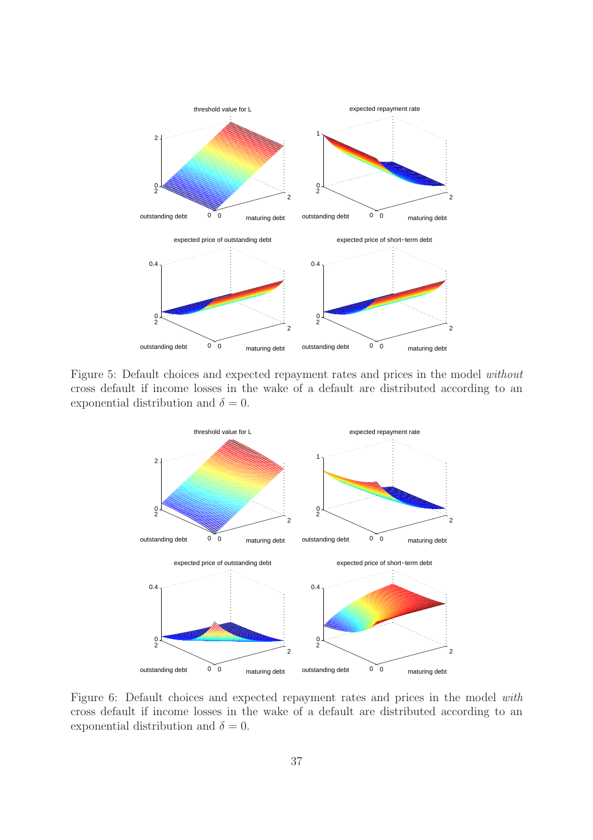

Figure 5: Default choices and expected repayment rates and prices in the model without cross default if income losses in the wake of a default are distributed according to an exponential distribution and  $\delta = 0$ .



Figure 6: Default choices and expected repayment rates and prices in the model with cross default if income losses in the wake of a default are distributed according to an exponential distribution and  $\delta = 0$ .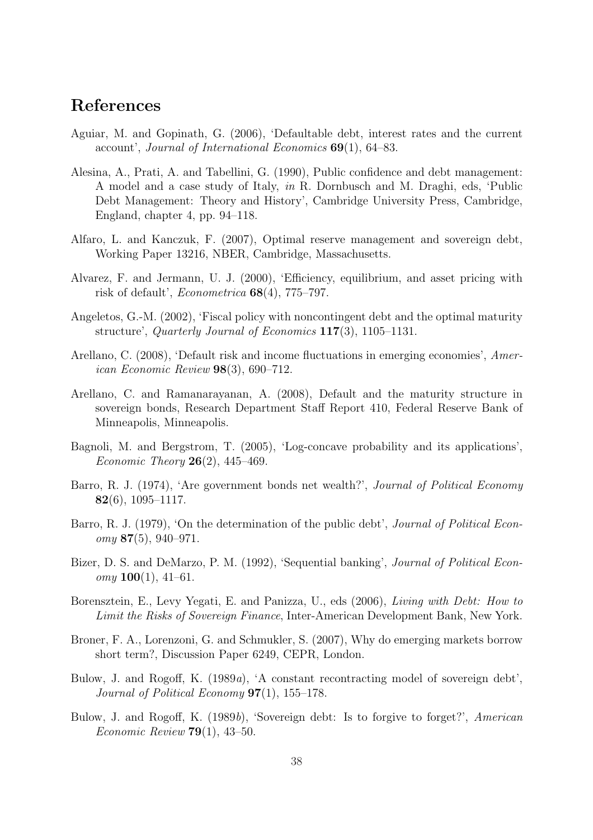# References

- Aguiar, M. and Gopinath, G. (2006), 'Defaultable debt, interest rates and the current account', Journal of International Economics 69(1), 64–83.
- Alesina, A., Prati, A. and Tabellini, G. (1990), Public confidence and debt management: A model and a case study of Italy, in R. Dornbusch and M. Draghi, eds, 'Public Debt Management: Theory and History', Cambridge University Press, Cambridge, England, chapter 4, pp. 94–118.
- Alfaro, L. and Kanczuk, F. (2007), Optimal reserve management and sovereign debt, Working Paper 13216, NBER, Cambridge, Massachusetts.
- Alvarez, F. and Jermann, U. J. (2000), 'Efficiency, equilibrium, and asset pricing with risk of default', Econometrica 68(4), 775–797.
- Angeletos, G.-M. (2002), 'Fiscal policy with noncontingent debt and the optimal maturity structure', Quarterly Journal of Economics 117(3), 1105–1131.
- Arellano, C. (2008), 'Default risk and income fluctuations in emerging economies', American Economic Review 98(3), 690–712.
- Arellano, C. and Ramanarayanan, A. (2008), Default and the maturity structure in sovereign bonds, Research Department Staff Report 410, Federal Reserve Bank of Minneapolis, Minneapolis.
- Bagnoli, M. and Bergstrom, T. (2005), 'Log-concave probability and its applications', *Economic Theory* **26**(2), 445–469.
- Barro, R. J. (1974), 'Are government bonds net wealth?', Journal of Political Economy 82(6), 1095–1117.
- Barro, R. J. (1979), 'On the determination of the public debt', *Journal of Political Econ* $omy$  87(5), 940–971.
- Bizer, D. S. and DeMarzo, P. M. (1992), 'Sequential banking', *Journal of Political Econ* $omy \mathbf{100}(1), 41-61.$
- Borensztein, E., Levy Yegati, E. and Panizza, U., eds (2006), Living with Debt: How to Limit the Risks of Sovereign Finance, Inter-American Development Bank, New York.
- Broner, F. A., Lorenzoni, G. and Schmukler, S. (2007), Why do emerging markets borrow short term?, Discussion Paper 6249, CEPR, London.
- Bulow, J. and Rogoff, K. (1989a), 'A constant recontracting model of sovereign debt', Journal of Political Economy  $97(1)$ , 155–178.
- Bulow, J. and Rogoff, K. (1989b), 'Sovereign debt: Is to forgive to forget?', American *Economic Review* **79** $(1)$ , 43–50.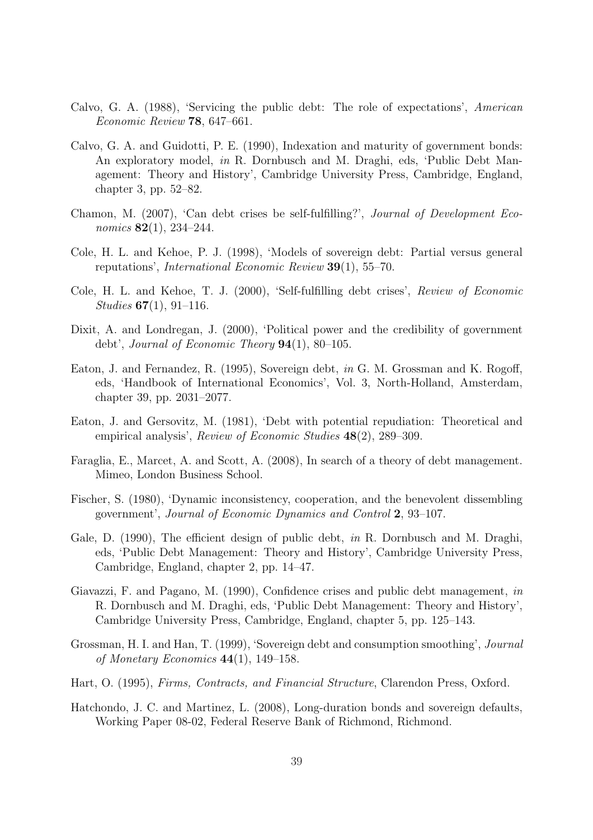- Calvo, G. A. (1988), 'Servicing the public debt: The role of expectations', American Economic Review 78, 647–661.
- Calvo, G. A. and Guidotti, P. E. (1990), Indexation and maturity of government bonds: An exploratory model, in R. Dornbusch and M. Draghi, eds, 'Public Debt Management: Theory and History', Cambridge University Press, Cambridge, England, chapter 3, pp. 52–82.
- Chamon, M. (2007), 'Can debt crises be self-fulfilling?', Journal of Development Economics **82**(1), 234–244.
- Cole, H. L. and Kehoe, P. J. (1998), 'Models of sovereign debt: Partial versus general reputations', International Economic Review 39(1), 55–70.
- Cole, H. L. and Kehoe, T. J. (2000), 'Self-fulfilling debt crises', Review of Economic Studies  $67(1), 91-116$ .
- Dixit, A. and Londregan, J. (2000), 'Political power and the credibility of government debt', Journal of Economic Theory  $94(1)$ ,  $80-105$ .
- Eaton, J. and Fernandez, R. (1995), Sovereign debt, in G. M. Grossman and K. Rogoff, eds, 'Handbook of International Economics', Vol. 3, North-Holland, Amsterdam, chapter 39, pp. 2031–2077.
- Eaton, J. and Gersovitz, M. (1981), 'Debt with potential repudiation: Theoretical and empirical analysis', Review of Economic Studies 48(2), 289–309.
- Faraglia, E., Marcet, A. and Scott, A. (2008), In search of a theory of debt management. Mimeo, London Business School.
- Fischer, S. (1980), 'Dynamic inconsistency, cooperation, and the benevolent dissembling government', Journal of Economic Dynamics and Control 2, 93–107.
- Gale, D. (1990), The efficient design of public debt, in R. Dornbusch and M. Draghi, eds, 'Public Debt Management: Theory and History', Cambridge University Press, Cambridge, England, chapter 2, pp. 14–47.
- Giavazzi, F. and Pagano, M. (1990), Confidence crises and public debt management, in R. Dornbusch and M. Draghi, eds, 'Public Debt Management: Theory and History', Cambridge University Press, Cambridge, England, chapter 5, pp. 125–143.
- Grossman, H. I. and Han, T. (1999), 'Sovereign debt and consumption smoothing', Journal of Monetary Economics  $44(1)$ , 149–158.
- Hart, O. (1995), Firms, Contracts, and Financial Structure, Clarendon Press, Oxford.
- Hatchondo, J. C. and Martinez, L. (2008), Long-duration bonds and sovereign defaults, Working Paper 08-02, Federal Reserve Bank of Richmond, Richmond.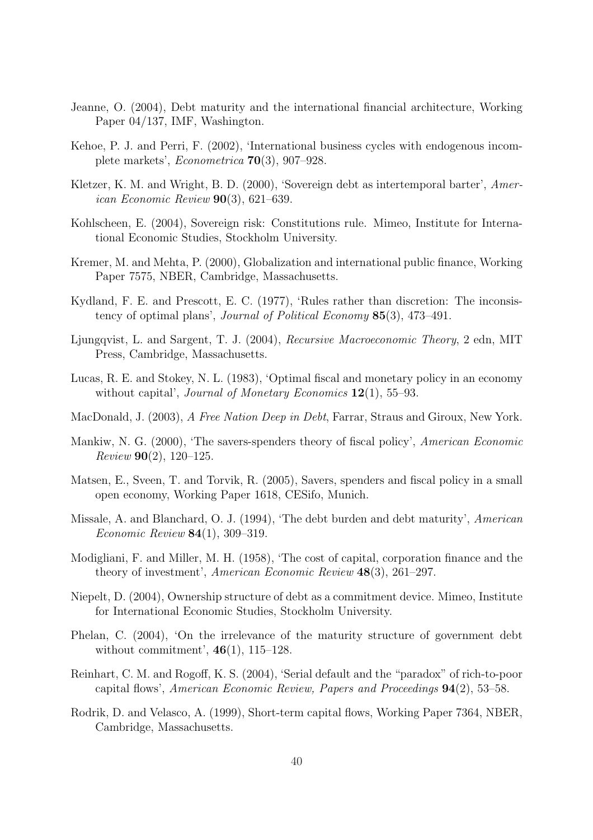- Jeanne, O. (2004), Debt maturity and the international financial architecture, Working Paper 04/137, IMF, Washington.
- Kehoe, P. J. and Perri, F. (2002), 'International business cycles with endogenous incomplete markets', Econometrica 70(3), 907–928.
- Kletzer, K. M. and Wright, B. D. (2000), 'Sovereign debt as intertemporal barter', American Economic Review 90(3), 621–639.
- Kohlscheen, E. (2004), Sovereign risk: Constitutions rule. Mimeo, Institute for International Economic Studies, Stockholm University.
- Kremer, M. and Mehta, P. (2000), Globalization and international public finance, Working Paper 7575, NBER, Cambridge, Massachusetts.
- Kydland, F. E. and Prescott, E. C. (1977), 'Rules rather than discretion: The inconsistency of optimal plans', Journal of Political Economy 85(3), 473–491.
- Ljungqvist, L. and Sargent, T. J. (2004), Recursive Macroeconomic Theory, 2 edn, MIT Press, Cambridge, Massachusetts.
- Lucas, R. E. and Stokey, N. L. (1983), 'Optimal fiscal and monetary policy in an economy without capital', Journal of Monetary Economics  $12(1)$ , 55–93.
- MacDonald, J. (2003), A Free Nation Deep in Debt, Farrar, Straus and Giroux, New York.
- Mankiw, N. G. (2000), 'The savers-spenders theory of fiscal policy', American Economic  $Review 90(2), 120-125.$
- Matsen, E., Sveen, T. and Torvik, R. (2005), Savers, spenders and fiscal policy in a small open economy, Working Paper 1618, CESifo, Munich.
- Missale, A. and Blanchard, O. J. (1994), 'The debt burden and debt maturity', American Economic Review 84(1), 309–319.
- Modigliani, F. and Miller, M. H. (1958), 'The cost of capital, corporation finance and the theory of investment', American Economic Review 48(3), 261–297.
- Niepelt, D. (2004), Ownership structure of debt as a commitment device. Mimeo, Institute for International Economic Studies, Stockholm University.
- Phelan, C. (2004), 'On the irrelevance of the maturity structure of government debt without commitment',  $46(1)$ ,  $115-128$ .
- Reinhart, C. M. and Rogoff, K. S. (2004), 'Serial default and the "paradox" of rich-to-poor capital flows', American Economic Review, Papers and Proceedings 94(2), 53–58.
- Rodrik, D. and Velasco, A. (1999), Short-term capital flows, Working Paper 7364, NBER, Cambridge, Massachusetts.